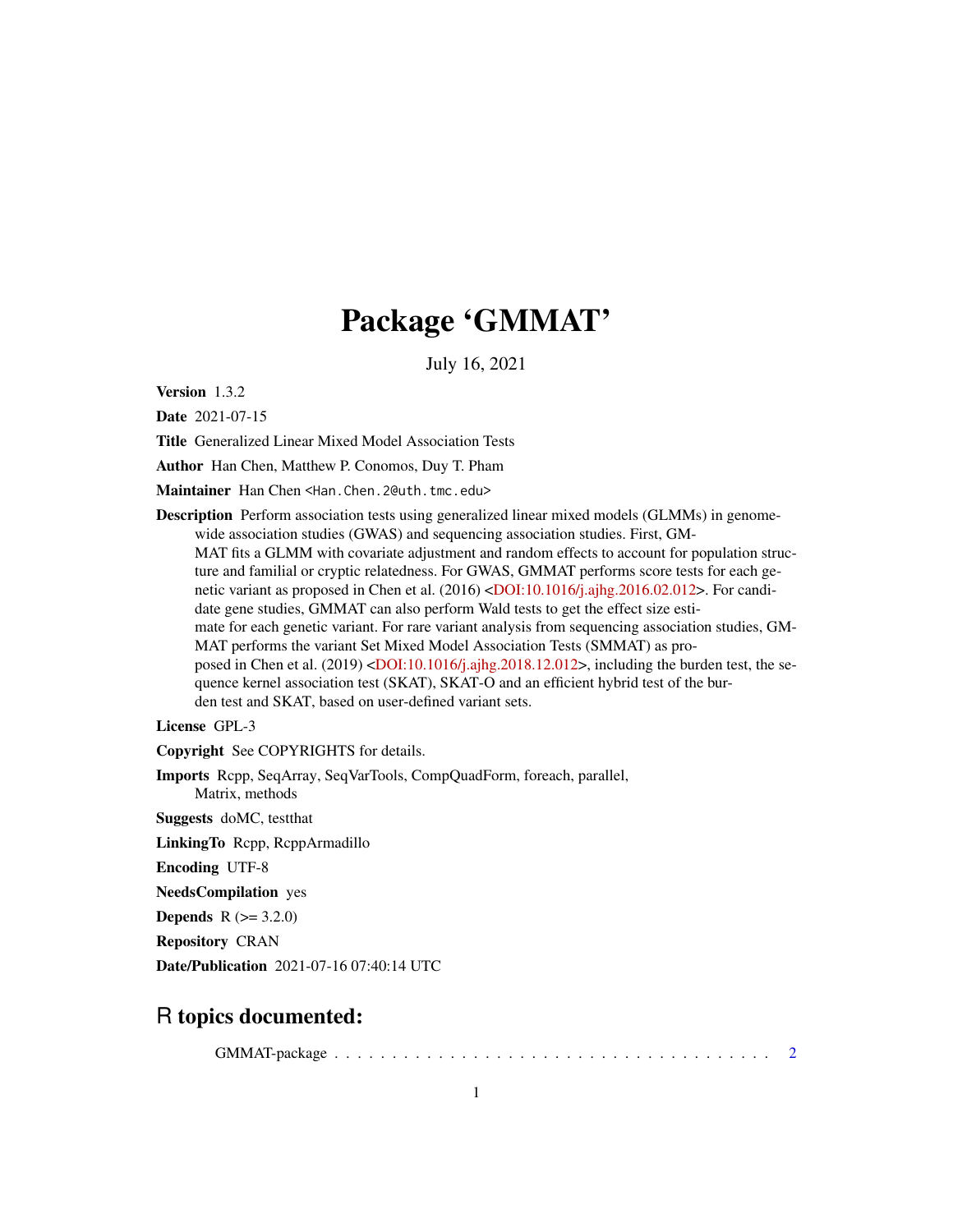# Package 'GMMAT'

July 16, 2021

<span id="page-0-0"></span>Version 1.3.2

Date 2021-07-15

Title Generalized Linear Mixed Model Association Tests

Author Han Chen, Matthew P. Conomos, Duy T. Pham

Maintainer Han Chen <Han.Chen.2@uth.tmc.edu>

Description Perform association tests using generalized linear mixed models (GLMMs) in genomewide association studies (GWAS) and sequencing association studies. First, GM-MAT fits a GLMM with covariate adjustment and random effects to account for population structure and familial or cryptic relatedness. For GWAS, GMMAT performs score tests for each ge-netic variant as proposed in Chen et al. (2016) [<DOI:10.1016/j.ajhg.2016.02.012>](https://doi.org/10.1016/j.ajhg.2016.02.012). For candidate gene studies, GMMAT can also perform Wald tests to get the effect size estimate for each genetic variant. For rare variant analysis from sequencing association studies, GM-MAT performs the variant Set Mixed Model Association Tests (SMMAT) as pro-posed in Chen et al. (2019) [<DOI:10.1016/j.ajhg.2018.12.012>](https://doi.org/10.1016/j.ajhg.2018.12.012), including the burden test, the sequence kernel association test (SKAT), SKAT-O and an efficient hybrid test of the burden test and SKAT, based on user-defined variant sets.

License GPL-3

Copyright See COPYRIGHTS for details.

Imports Rcpp, SeqArray, SeqVarTools, CompQuadForm, foreach, parallel, Matrix, methods

Suggests doMC, testthat

LinkingTo Rcpp, RcppArmadillo

Encoding UTF-8

NeedsCompilation yes

**Depends** R  $(>= 3.2.0)$ 

Repository CRAN

Date/Publication 2021-07-16 07:40:14 UTC

# R topics documented:

GMMAT-package . . . . . . . . . . . . . . . . . . . . . . . . . . . . . . . . . . . . . . [2](#page-1-0)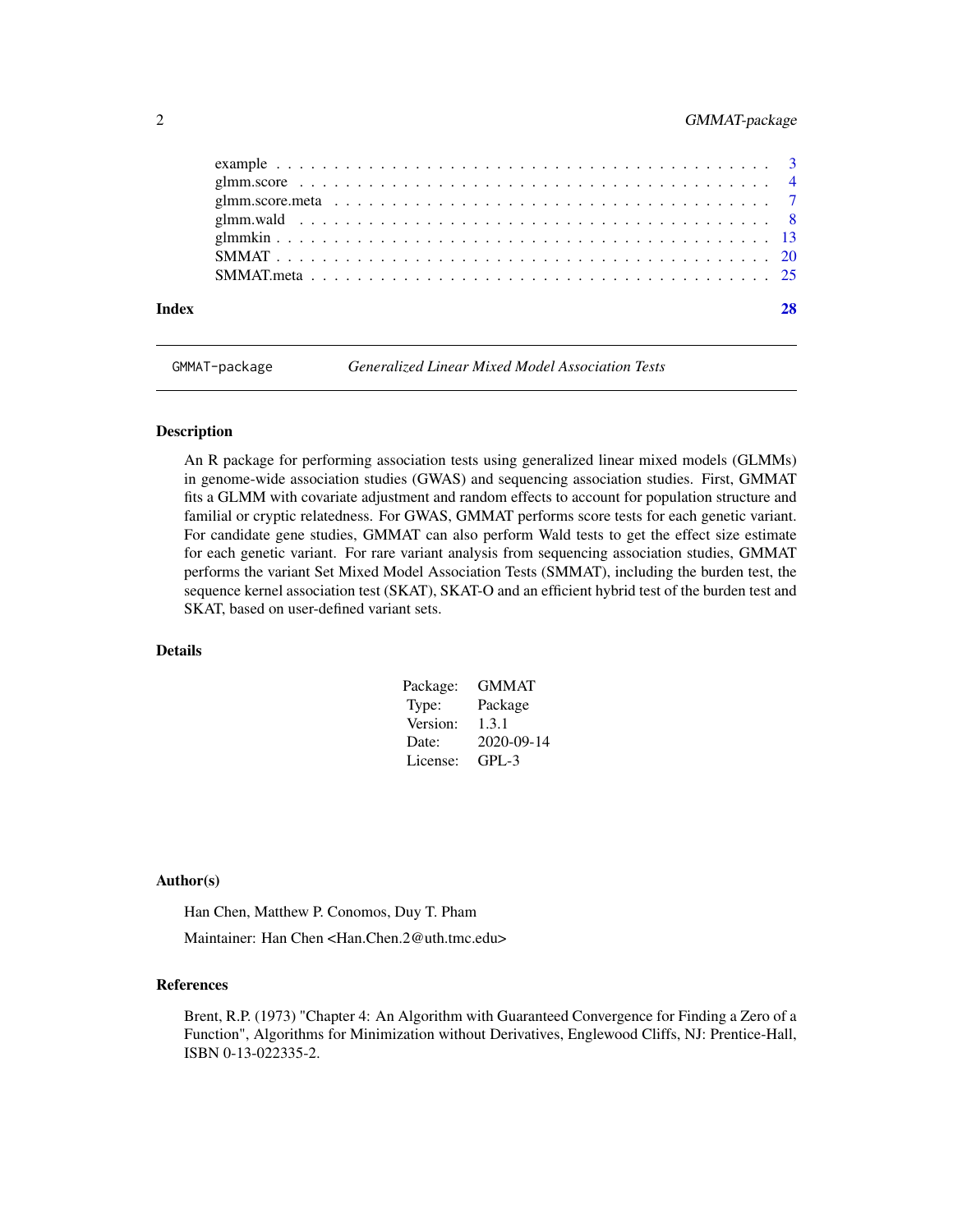# <span id="page-1-0"></span>2 GMMAT-package

|  | Index |
|--|-------|
|  |       |
|  |       |
|  |       |
|  |       |
|  |       |
|  |       |
|  |       |
|  |       |

GMMAT-package *Generalized Linear Mixed Model Association Tests*

#### Description

An R package for performing association tests using generalized linear mixed models (GLMMs) in genome-wide association studies (GWAS) and sequencing association studies. First, GMMAT fits a GLMM with covariate adjustment and random effects to account for population structure and familial or cryptic relatedness. For GWAS, GMMAT performs score tests for each genetic variant. For candidate gene studies, GMMAT can also perform Wald tests to get the effect size estimate for each genetic variant. For rare variant analysis from sequencing association studies, GMMAT performs the variant Set Mixed Model Association Tests (SMMAT), including the burden test, the sequence kernel association test (SKAT), SKAT-O and an efficient hybrid test of the burden test and SKAT, based on user-defined variant sets.

# Details

| Package: | <b>GMMAT</b> |
|----------|--------------|
| Type:    | Package      |
| Version: | 1.3.1        |
| Date:    | 2020-09-14   |
| License: | $GPI - 3$    |

# Author(s)

Han Chen, Matthew P. Conomos, Duy T. Pham

Maintainer: Han Chen <Han.Chen.2@uth.tmc.edu>

#### References

Brent, R.P. (1973) "Chapter 4: An Algorithm with Guaranteed Convergence for Finding a Zero of a Function", Algorithms for Minimization without Derivatives, Englewood Cliffs, NJ: Prentice-Hall, ISBN 0-13-022335-2.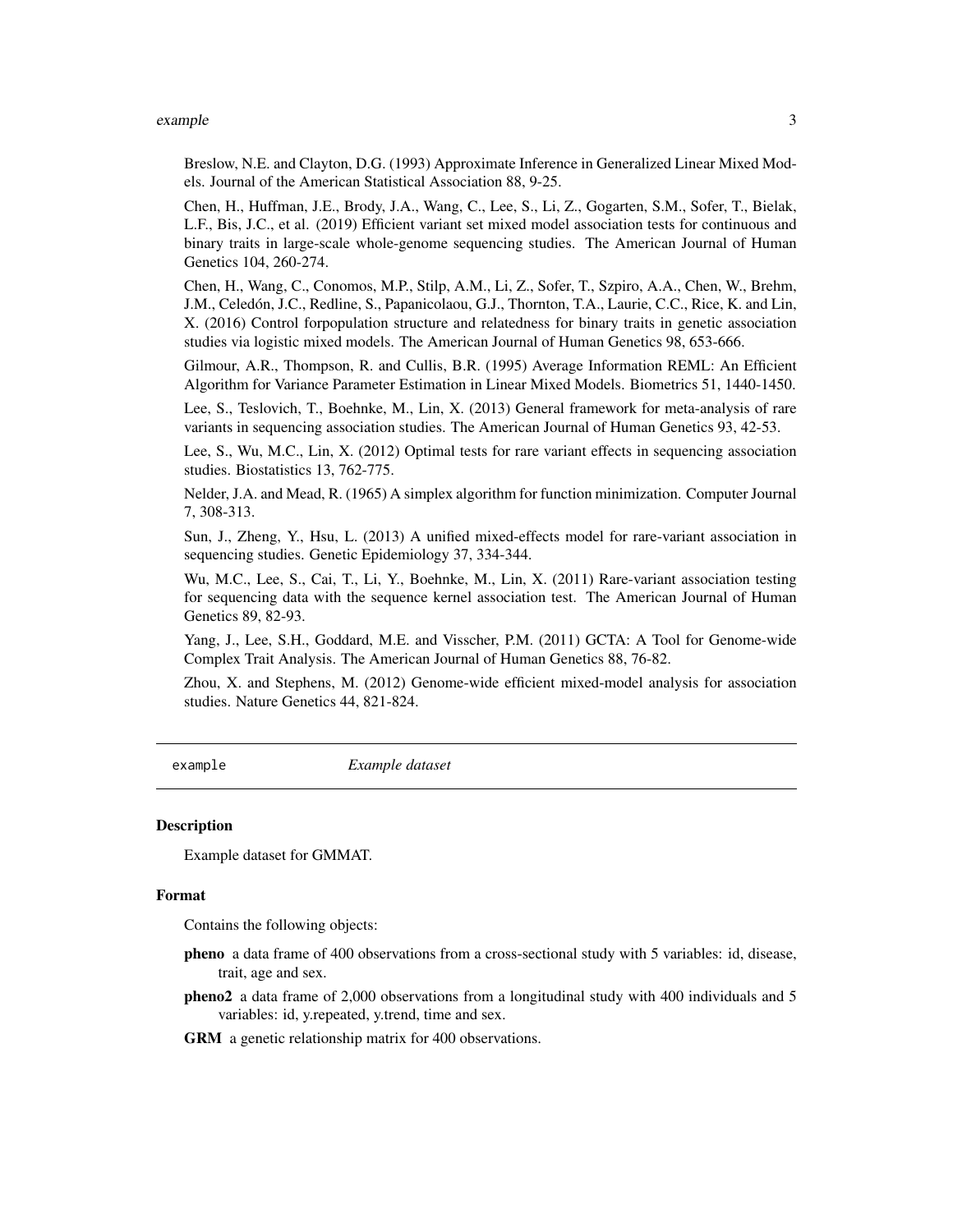#### <span id="page-2-0"></span>example 3

Breslow, N.E. and Clayton, D.G. (1993) Approximate Inference in Generalized Linear Mixed Models. Journal of the American Statistical Association 88, 9-25.

Chen, H., Huffman, J.E., Brody, J.A., Wang, C., Lee, S., Li, Z., Gogarten, S.M., Sofer, T., Bielak, L.F., Bis, J.C., et al. (2019) Efficient variant set mixed model association tests for continuous and binary traits in large-scale whole-genome sequencing studies. The American Journal of Human Genetics 104, 260-274.

Chen, H., Wang, C., Conomos, M.P., Stilp, A.M., Li, Z., Sofer, T., Szpiro, A.A., Chen, W., Brehm, J.M., Celedón, J.C., Redline, S., Papanicolaou, G.J., Thornton, T.A., Laurie, C.C., Rice, K. and Lin, X. (2016) Control forpopulation structure and relatedness for binary traits in genetic association studies via logistic mixed models. The American Journal of Human Genetics 98, 653-666.

Gilmour, A.R., Thompson, R. and Cullis, B.R. (1995) Average Information REML: An Efficient Algorithm for Variance Parameter Estimation in Linear Mixed Models. Biometrics 51, 1440-1450.

Lee, S., Teslovich, T., Boehnke, M., Lin, X. (2013) General framework for meta-analysis of rare variants in sequencing association studies. The American Journal of Human Genetics 93, 42-53.

Lee, S., Wu, M.C., Lin, X. (2012) Optimal tests for rare variant effects in sequencing association studies. Biostatistics 13, 762-775.

Nelder, J.A. and Mead, R. (1965) A simplex algorithm for function minimization. Computer Journal 7, 308-313.

Sun, J., Zheng, Y., Hsu, L. (2013) A unified mixed-effects model for rare-variant association in sequencing studies. Genetic Epidemiology 37, 334-344.

Wu, M.C., Lee, S., Cai, T., Li, Y., Boehnke, M., Lin, X. (2011) Rare-variant association testing for sequencing data with the sequence kernel association test. The American Journal of Human Genetics 89, 82-93.

Yang, J., Lee, S.H., Goddard, M.E. and Visscher, P.M. (2011) GCTA: A Tool for Genome-wide Complex Trait Analysis. The American Journal of Human Genetics 88, 76-82.

Zhou, X. and Stephens, M. (2012) Genome-wide efficient mixed-model analysis for association studies. Nature Genetics 44, 821-824.

example *Example dataset*

#### Description

Example dataset for GMMAT.

#### Format

Contains the following objects:

- pheno a data frame of 400 observations from a cross-sectional study with 5 variables: id, disease, trait, age and sex.
- pheno2 a data frame of 2,000 observations from a longitudinal study with 400 individuals and 5 variables: id, y.repeated, y.trend, time and sex.

GRM a genetic relationship matrix for 400 observations.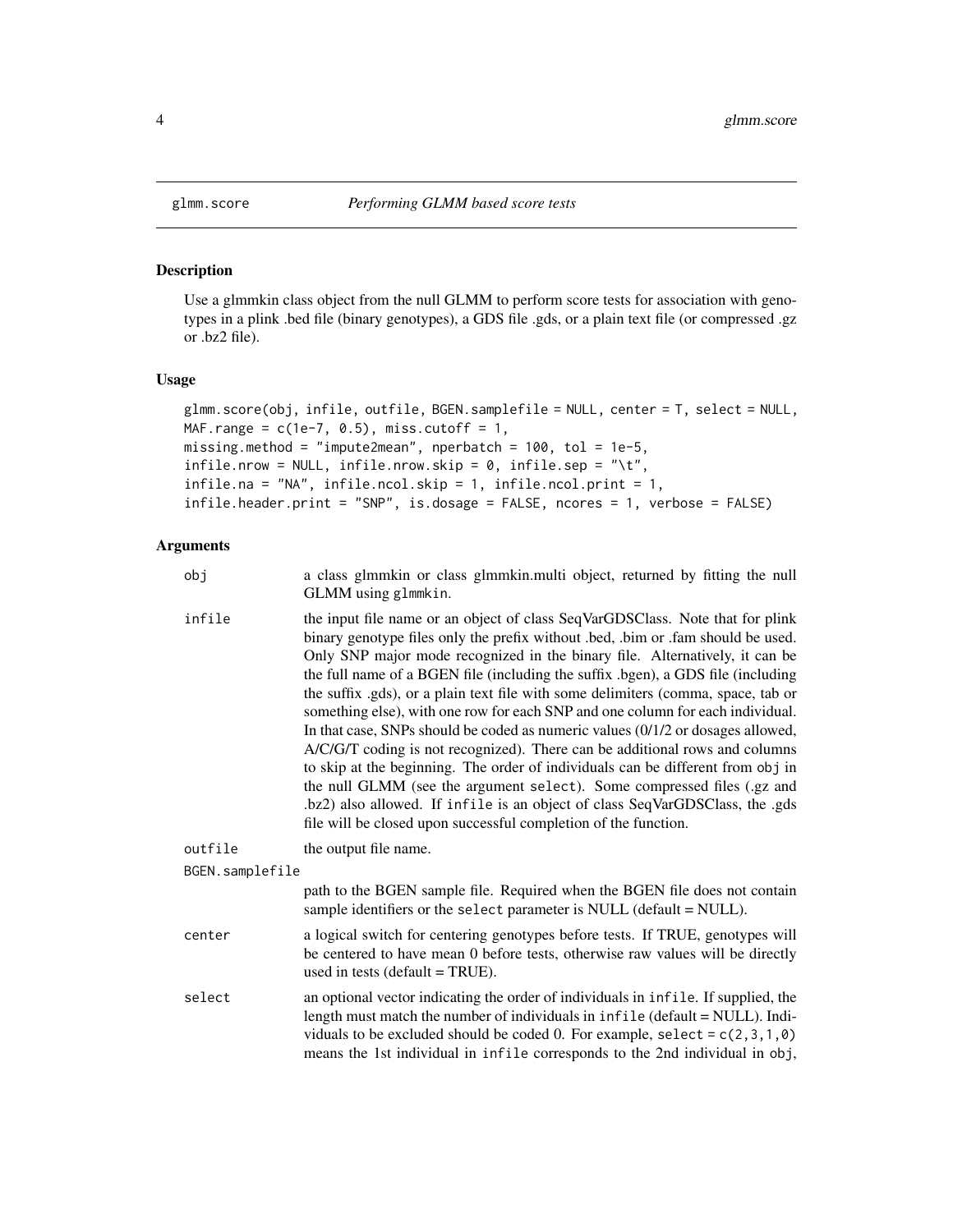<span id="page-3-1"></span><span id="page-3-0"></span>

#### **Description**

Use a glmmkin class object from the null GLMM to perform score tests for association with genotypes in a plink .bed file (binary genotypes), a GDS file .gds, or a plain text file (or compressed .gz or .bz2 file).

#### Usage

```
glmm.score(obj, infile, outfile, BGEN.samplefile = NULL, center = T, select = NULL,
MAF.range = c(1e-7, 0.5), miss.cutoff = 1,
missing.method = "impute2mean", nperbatch = 100, tol = 1e-5,
infile.nrow = NULL, infile.nrow.skip = 0, infile.sep = "\\t",infile.na = "NA", infile.ncol.skip = 1, infile.ncol.print = 1,
infile.header.print = "SNP", is.dosage = FALSE, ncores = 1, verbose = FALSE)
```
- obj a class glmmkin or class glmmkin.multi object, returned by fitting the null GLMM using glmmkin.
- infile the input file name or an object of class SeqVarGDSClass. Note that for plink binary genotype files only the prefix without .bed, .bim or .fam should be used. Only SNP major mode recognized in the binary file. Alternatively, it can be the full name of a BGEN file (including the suffix .bgen), a GDS file (including the suffix .gds), or a plain text file with some delimiters (comma, space, tab or something else), with one row for each SNP and one column for each individual. In that case, SNPs should be coded as numeric values (0/1/2 or dosages allowed, A/C/G/T coding is not recognized). There can be additional rows and columns to skip at the beginning. The order of individuals can be different from obj in the null GLMM (see the argument select). Some compressed files (.gz and .bz2) also allowed. If infile is an object of class SeqVarGDSClass, the .gds file will be closed upon successful completion of the function.

```
outfile the output file name.
```

```
BGEN.samplefile
                 path to the BGEN sample file. Required when the BGEN file does not contain
                 sample identifiers or the select parameter is NULL (default = NULL).
```
- center a logical switch for centering genotypes before tests. If TRUE, genotypes will be centered to have mean 0 before tests, otherwise raw values will be directly used in tests (default = TRUE).
- select an optional vector indicating the order of individuals in infile. If supplied, the length must match the number of individuals in infile (default = NULL). Individuals to be excluded should be coded 0. For example, select =  $c(2,3,1,0)$ means the 1st individual in infile corresponds to the 2nd individual in obj,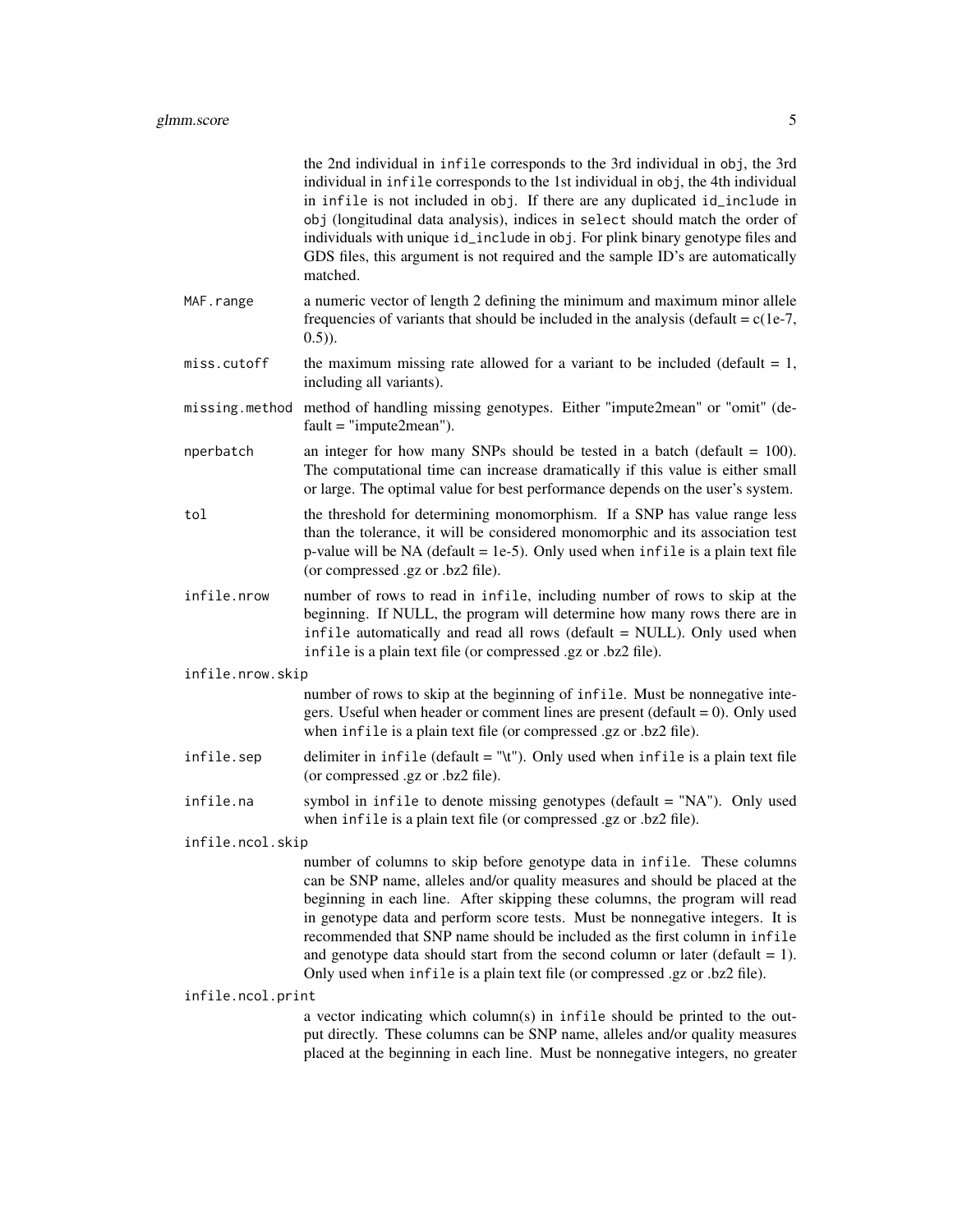|                   | the 2nd individual in infile corresponds to the 3rd individual in obj, the 3rd<br>individual in infile corresponds to the 1st individual in obj, the 4th individual<br>in infile is not included in obj. If there are any duplicated id_include in<br>obj (longitudinal data analysis), indices in select should match the order of<br>individuals with unique id_include in obj. For plink binary genotype files and<br>GDS files, this argument is not required and the sample ID's are automatically<br>matched.                                                       |
|-------------------|---------------------------------------------------------------------------------------------------------------------------------------------------------------------------------------------------------------------------------------------------------------------------------------------------------------------------------------------------------------------------------------------------------------------------------------------------------------------------------------------------------------------------------------------------------------------------|
| MAF.range         | a numeric vector of length 2 defining the minimum and maximum minor allele<br>frequencies of variants that should be included in the analysis (default = $c(1e-7)$ ,<br>$(0.5)$ ).                                                                                                                                                                                                                                                                                                                                                                                        |
| miss.cutoff       | the maximum missing rate allowed for a variant to be included (default $= 1$ ,<br>including all variants).                                                                                                                                                                                                                                                                                                                                                                                                                                                                |
|                   | missing.method method of handling missing genotypes. Either "impute2mean" or "omit" (de-<br>$fault = "impute2mean").$                                                                                                                                                                                                                                                                                                                                                                                                                                                     |
| nperbatch         | an integer for how many SNPs should be tested in a batch (default $= 100$ ).<br>The computational time can increase dramatically if this value is either small<br>or large. The optimal value for best performance depends on the user's system.                                                                                                                                                                                                                                                                                                                          |
| tol               | the threshold for determining monomorphism. If a SNP has value range less<br>than the tolerance, it will be considered monomorphic and its association test<br>p-value will be NA (default = 1e-5). Only used when infile is a plain text file<br>(or compressed .gz or .bz2 file).                                                                                                                                                                                                                                                                                       |
| infile.nrow       | number of rows to read in infile, including number of rows to skip at the<br>beginning. If NULL, the program will determine how many rows there are in<br>infile automatically and read all rows (default = NULL). Only used when<br>infile is a plain text file (or compressed .gz or .bz2 file).                                                                                                                                                                                                                                                                        |
| infile.nrow.skip  |                                                                                                                                                                                                                                                                                                                                                                                                                                                                                                                                                                           |
|                   | number of rows to skip at the beginning of infile. Must be nonnegative inte-<br>gers. Useful when header or comment lines are present ( $\text{default} = 0$ ). Only used<br>when infile is a plain text file (or compressed .gz or .bz2 file).                                                                                                                                                                                                                                                                                                                           |
| infile.sep        | delimiter in $infile$ (default = "\t"). Only used when $infile$ is a plain text file<br>(or compressed .gz or .bz2 file).                                                                                                                                                                                                                                                                                                                                                                                                                                                 |
| infile.na         | symbol in infile to denote missing genotypes (default $=$ "NA"). Only used<br>when infile is a plain text file (or compressed .gz or .bz2 file).                                                                                                                                                                                                                                                                                                                                                                                                                          |
| infile.ncol.skip  |                                                                                                                                                                                                                                                                                                                                                                                                                                                                                                                                                                           |
|                   | number of columns to skip before genotype data in infile. These columns<br>can be SNP name, alleles and/or quality measures and should be placed at the<br>beginning in each line. After skipping these columns, the program will read<br>in genotype data and perform score tests. Must be nonnegative integers. It is<br>recommended that SNP name should be included as the first column in infile<br>and genotype data should start from the second column or later (default $= 1$ ).<br>Only used when infile is a plain text file (or compressed .gz or .bz2 file). |
| infile.ncol.print |                                                                                                                                                                                                                                                                                                                                                                                                                                                                                                                                                                           |
|                   | a vector indicating which column(s) in infile should be printed to the out-<br>put directly. These columns can be SNP name, alleles and/or quality measures<br>placed at the beginning in each line. Must be nonnegative integers, no greater                                                                                                                                                                                                                                                                                                                             |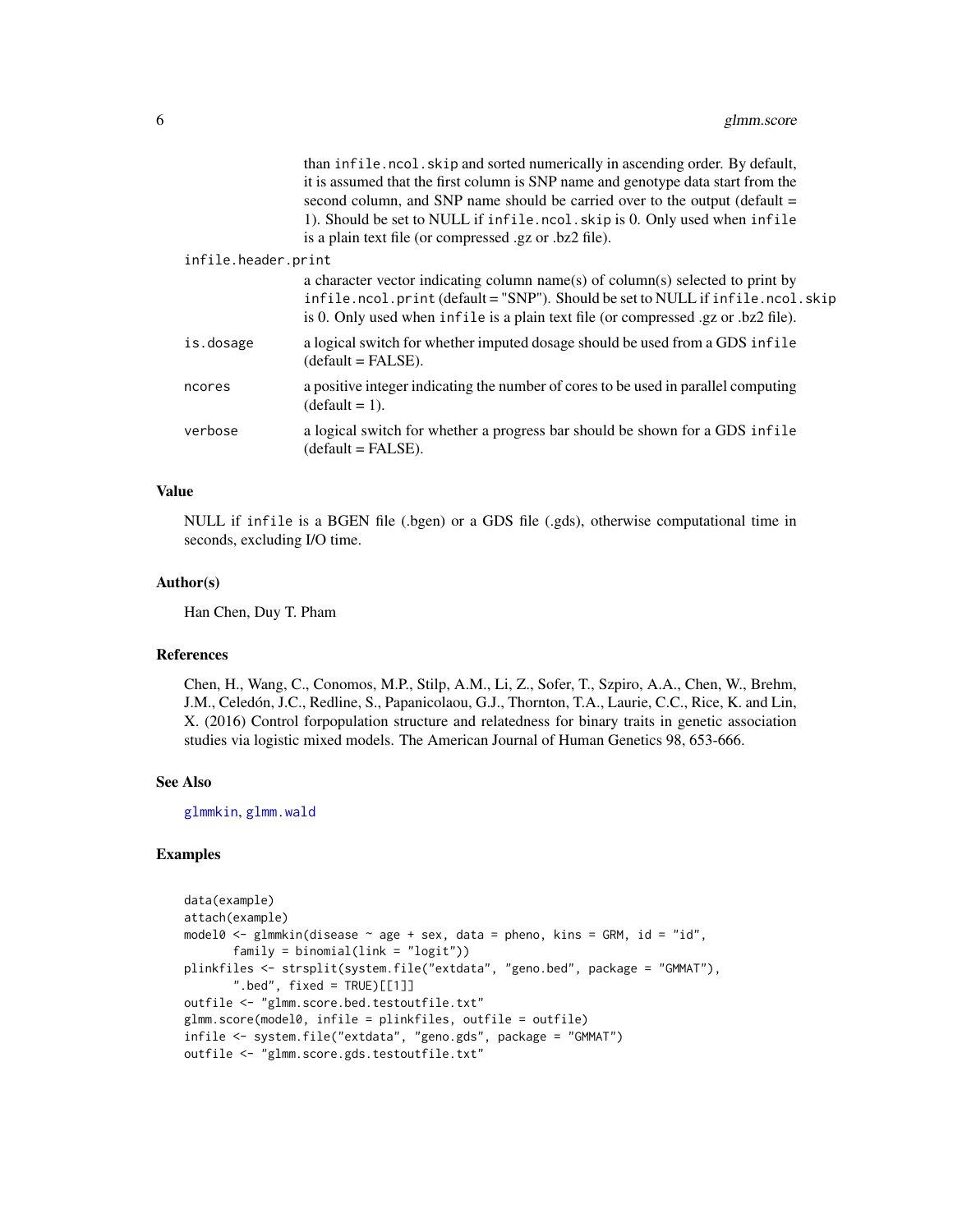<span id="page-5-0"></span>

|                     | than infile.ncol.skip and sorted numerically in ascending order. By default,<br>it is assumed that the first column is SNP name and genotype data start from the<br>second column, and SNP name should be carried over to the output (default =<br>1). Should be set to NULL if infile.ncol.skip is 0. Only used when infile<br>is a plain text file (or compressed .gz or .bz2 file). |
|---------------------|----------------------------------------------------------------------------------------------------------------------------------------------------------------------------------------------------------------------------------------------------------------------------------------------------------------------------------------------------------------------------------------|
| infile.header.print |                                                                                                                                                                                                                                                                                                                                                                                        |
|                     | a character vector indicating column name(s) of column(s) selected to print by<br>infile.ncol.print (default = "SNP"). Should be set to NULL if infile.ncol.skip<br>is 0. Only used when infile is a plain text file (or compressed .gz or .bz2 file).                                                                                                                                 |
| is.dosage           | a logical switch for whether imputed dosage should be used from a GDS infile<br>$(detault = FALSE).$                                                                                                                                                                                                                                                                                   |
| ncores              | a positive integer indicating the number of cores to be used in parallel computing<br>$(detault = 1).$                                                                                                                                                                                                                                                                                 |
| verbose             | a logical switch for whether a progress bar should be shown for a GDS infile<br>$(detault = FALSE).$                                                                                                                                                                                                                                                                                   |
|                     |                                                                                                                                                                                                                                                                                                                                                                                        |

#### Value

NULL if infile is a BGEN file (.bgen) or a GDS file (.gds), otherwise computational time in seconds, excluding I/O time.

#### Author(s)

Han Chen, Duy T. Pham

#### References

Chen, H., Wang, C., Conomos, M.P., Stilp, A.M., Li, Z., Sofer, T., Szpiro, A.A., Chen, W., Brehm, J.M., Celedón, J.C., Redline, S., Papanicolaou, G.J., Thornton, T.A., Laurie, C.C., Rice, K. and Lin, X. (2016) Control forpopulation structure and relatedness for binary traits in genetic association studies via logistic mixed models. The American Journal of Human Genetics 98, 653-666.

#### See Also

[glmmkin](#page-12-1), [glmm.wald](#page-7-1)

# Examples

```
data(example)
attach(example)
model0 <- glmmkin(disease \sim age + sex, data = pheno, kins = GRM, id = "id",
      family = binomial(link = "logit")plinkfiles <- strsplit(system.file("extdata", "geno.bed", package = "GMMAT"),
      ".bed", fixed = TRUE)[[1]]
outfile <- "glmm.score.bed.testoutfile.txt"
glmm.score(model0, infile = plinkfiles, outfile = outfile)
infile <- system.file("extdata", "geno.gds", package = "GMMAT")
outfile <- "glmm.score.gds.testoutfile.txt"
```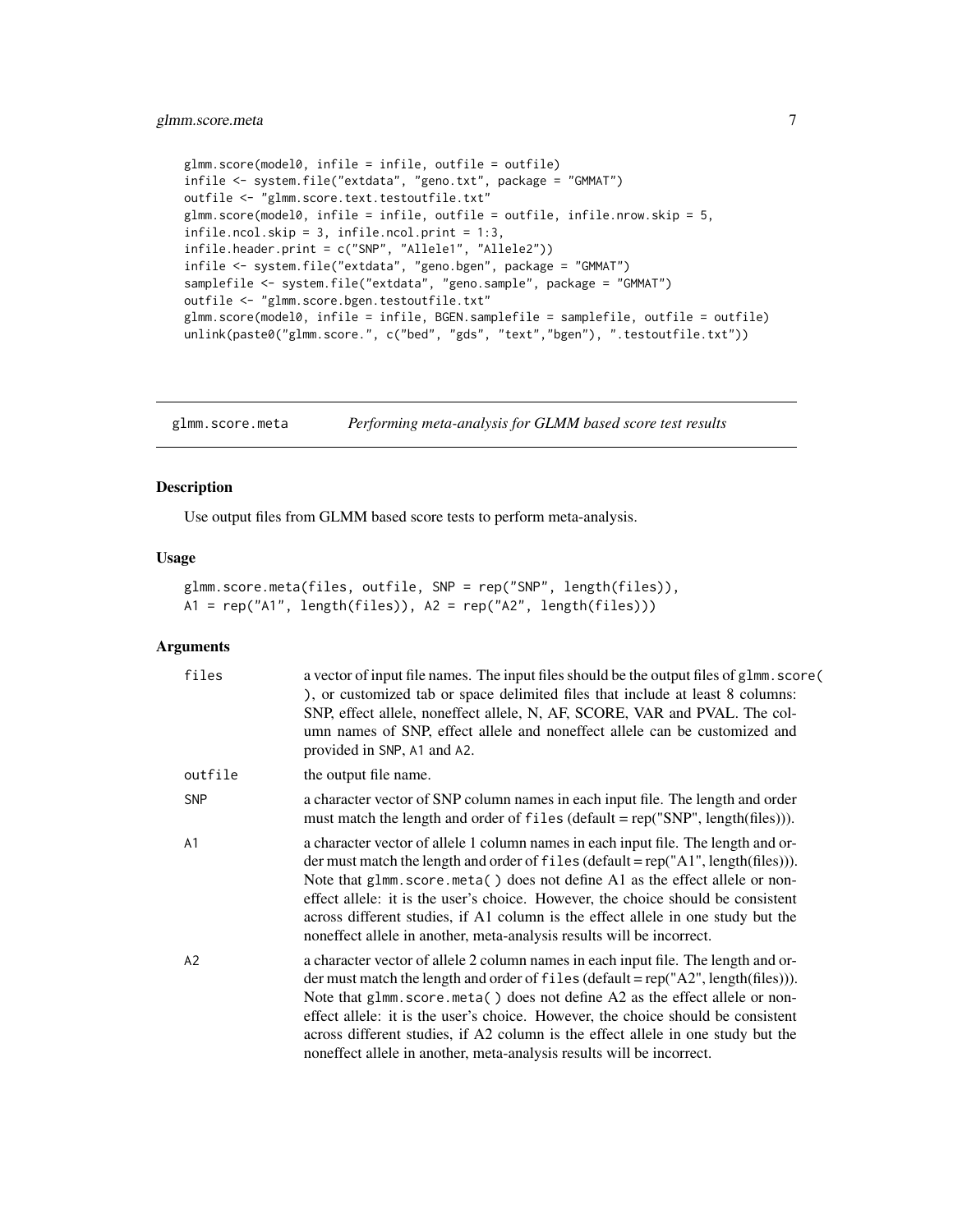```
glmm.score(model0, infile = infile, outfile = outfile)
infile <- system.file("extdata", "geno.txt", package = "GMMAT")
outfile <- "glmm.score.text.testoutfile.txt"
glmm.score(model0, infile = infile, outfile = outfile, infile.nrow.skip = 5,
infile.ncol.skip = 3, infile.ncol.print = 1:3,
infile.header.print = c("SNP", "Allele1", "Allele2"))
infile <- system.file("extdata", "geno.bgen", package = "GMMAT")
samplefile <- system.file("extdata", "geno.sample", package = "GMMAT")
outfile <- "glmm.score.bgen.testoutfile.txt"
glmm.score(model0, infile = infile, BGEN.samplefile = samplefile, outfile = outfile)
unlink(paste0("glmm.score.", c("bed", "gds", "text","bgen"), ".testoutfile.txt"))
```
glmm.score.meta *Performing meta-analysis for GLMM based score test results*

# Description

Use output files from GLMM based score tests to perform meta-analysis.

#### Usage

```
glmm.score.meta(files, outfile, SNP = rep("SNP", length(files)),
A1 = rep("A1", length(files)), A2 = rep("A2", length(files)))
```

| files      | a vector of input file names. The input files should be the output files of glmm. score (<br>), or customized tab or space delimited files that include at least 8 columns:<br>SNP, effect allele, noneffect allele, N, AF, SCORE, VAR and PVAL. The col-<br>umn names of SNP, effect allele and noneffect allele can be customized and<br>provided in SNP, A1 and A2.                                                                                                                                      |
|------------|-------------------------------------------------------------------------------------------------------------------------------------------------------------------------------------------------------------------------------------------------------------------------------------------------------------------------------------------------------------------------------------------------------------------------------------------------------------------------------------------------------------|
| outfile    | the output file name.                                                                                                                                                                                                                                                                                                                                                                                                                                                                                       |
| <b>SNP</b> | a character vector of SNP column names in each input file. The length and order<br>must match the length and order of files (default = $rep("SNP", length(files))$ ).                                                                                                                                                                                                                                                                                                                                       |
| A1         | a character vector of allele 1 column names in each input file. The length and or-<br>der must match the length and order of files (default = $rep("A1", length(files))$ ).<br>Note that glmm.score.meta() does not define A1 as the effect allele or non-<br>effect allele: it is the user's choice. However, the choice should be consistent<br>across different studies, if A1 column is the effect allele in one study but the<br>noneffect allele in another, meta-analysis results will be incorrect. |
| A2         | a character vector of allele 2 column names in each input file. The length and or-<br>der must match the length and order of files (default = $rep("A2", length(files))$ ).<br>Note that glmm.score.meta() does not define A2 as the effect allele or non-<br>effect allele: it is the user's choice. However, the choice should be consistent<br>across different studies, if A2 column is the effect allele in one study but the<br>noneffect allele in another, meta-analysis results will be incorrect. |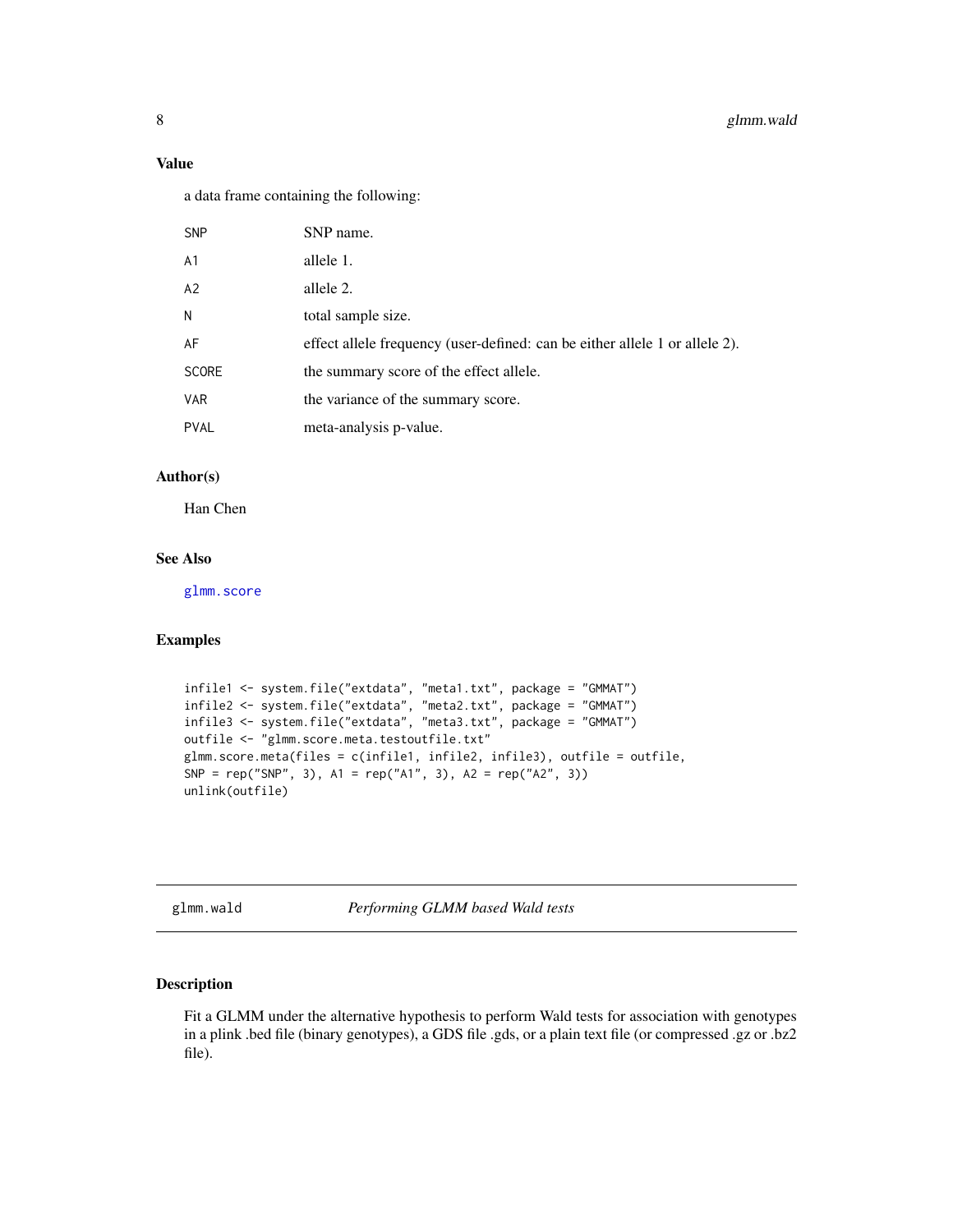### <span id="page-7-0"></span>Value

a data frame containing the following:

| <b>SNP</b>     | SNP name.                                                                   |
|----------------|-----------------------------------------------------------------------------|
| A <sub>1</sub> | allele 1.                                                                   |
| A2             | allele 2.                                                                   |
| N              | total sample size.                                                          |
| AF             | effect allele frequency (user-defined: can be either allele 1 or allele 2). |
| <b>SCORE</b>   | the summary score of the effect allele.                                     |
| <b>VAR</b>     | the variance of the summary score.                                          |
| <b>PVAL</b>    | meta-analysis p-value.                                                      |

### Author(s)

Han Chen

# See Also

[glmm.score](#page-3-1)

# Examples

```
infile1 <- system.file("extdata", "meta1.txt", package = "GMMAT")
infile2 <- system.file("extdata", "meta2.txt", package = "GMMAT")
infile3 <- system.file("extdata", "meta3.txt", package = "GMMAT")
outfile <- "glmm.score.meta.testoutfile.txt"
glmm.score.meta(files = c(infile1, infile2, infile3), outfile = outfile,
SNP = rep("SNP", 3), A1 = rep("A1", 3), A2 = rep("A2", 3))unlink(outfile)
```
<span id="page-7-1"></span>glmm.wald *Performing GLMM based Wald tests*

# Description

Fit a GLMM under the alternative hypothesis to perform Wald tests for association with genotypes in a plink .bed file (binary genotypes), a GDS file .gds, or a plain text file (or compressed .gz or .bz2 file).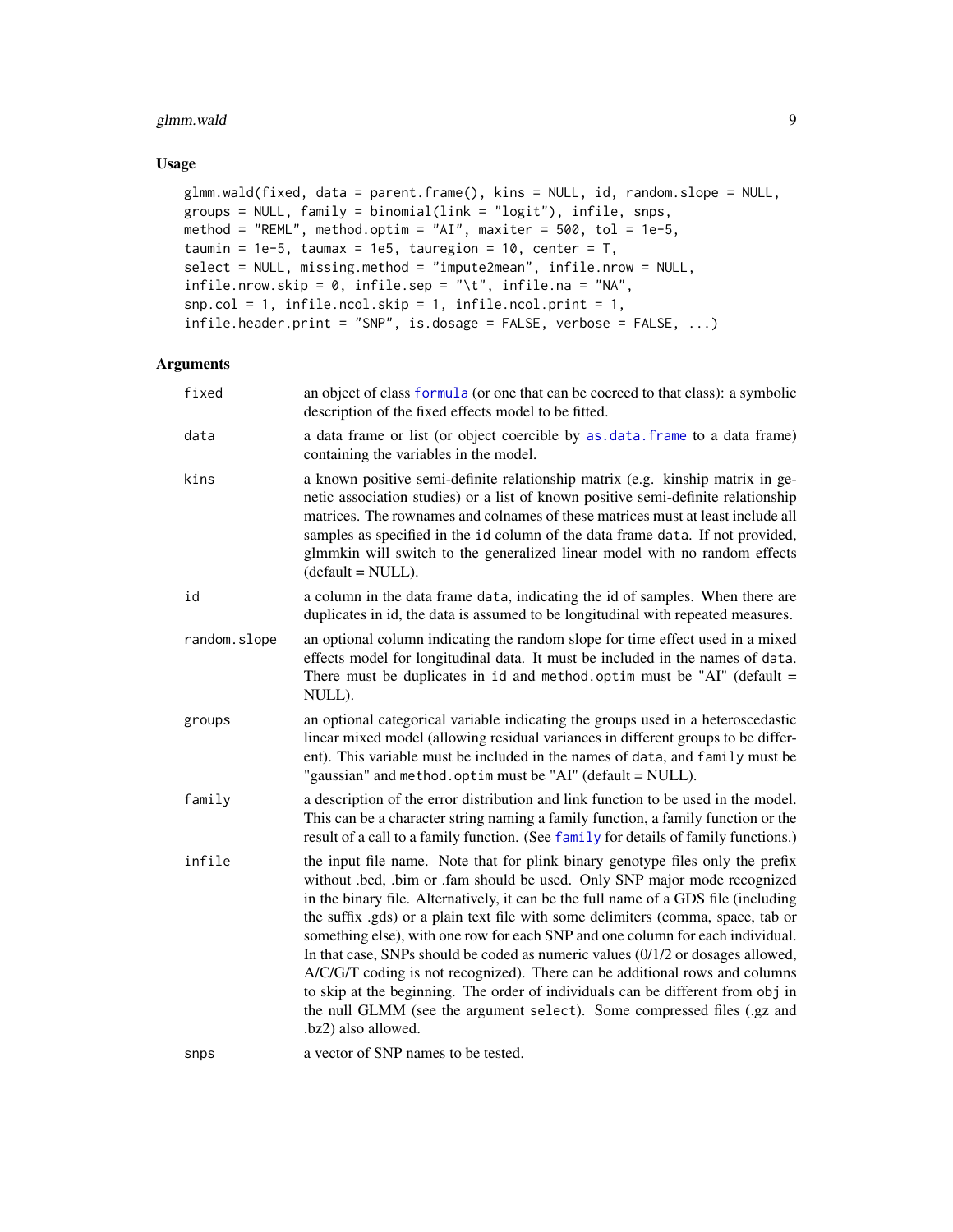# <span id="page-8-0"></span>glmm.wald 9

#### Usage

```
glmm.wald(fixed, data = parent.frame(), kins = NULL, id, random.slope = NULL,
groups = NULL, family = binomial(link = "logit"), infile, snps,
method = "REML", method.optim = "AI", maxiter = 500, tol = 1e-5,
taumin = 1e-5, taumax = 1e5, tauregion = 10, center = T,
select = NULL, missing.method = "impute2mean", infile.nrow = NULL,
infile.nrow.skip = 0, infile.sep = "\\t", infile.na = "NA",snp.col = 1, infile.ncol.skip = 1, infile.ncol.print = 1,
infile.header.print = "SNP", is.dosage = FALSE, verbose = FALSE, ...)
```

| fixed        | an object of class formula (or one that can be coerced to that class): a symbolic<br>description of the fixed effects model to be fitted.                                                                                                                                                                                                                                                                                                                                                                                                                                                                                                                                                                                                                                       |
|--------------|---------------------------------------------------------------------------------------------------------------------------------------------------------------------------------------------------------------------------------------------------------------------------------------------------------------------------------------------------------------------------------------------------------------------------------------------------------------------------------------------------------------------------------------------------------------------------------------------------------------------------------------------------------------------------------------------------------------------------------------------------------------------------------|
| data         | a data frame or list (or object coercible by as.data.frame to a data frame)<br>containing the variables in the model.                                                                                                                                                                                                                                                                                                                                                                                                                                                                                                                                                                                                                                                           |
| kins         | a known positive semi-definite relationship matrix (e.g. kinship matrix in ge-<br>netic association studies) or a list of known positive semi-definite relationship<br>matrices. The rownames and colnames of these matrices must at least include all<br>samples as specified in the id column of the data frame data. If not provided,<br>glmmkin will switch to the generalized linear model with no random effects<br>$(default = NULL).$                                                                                                                                                                                                                                                                                                                                   |
| id           | a column in the data frame data, indicating the id of samples. When there are<br>duplicates in id, the data is assumed to be longitudinal with repeated measures.                                                                                                                                                                                                                                                                                                                                                                                                                                                                                                                                                                                                               |
| random.slope | an optional column indicating the random slope for time effect used in a mixed<br>effects model for longitudinal data. It must be included in the names of data.<br>There must be duplicates in id and method. optim must be "AI" (default $=$<br>NULL).                                                                                                                                                                                                                                                                                                                                                                                                                                                                                                                        |
| groups       | an optional categorical variable indicating the groups used in a heteroscedastic<br>linear mixed model (allowing residual variances in different groups to be differ-<br>ent). This variable must be included in the names of data, and family must be<br>"gaussian" and method.optim must be "AI" (default = NULL).                                                                                                                                                                                                                                                                                                                                                                                                                                                            |
| family       | a description of the error distribution and link function to be used in the model.<br>This can be a character string naming a family function, a family function or the<br>result of a call to a family function. (See family for details of family functions.)                                                                                                                                                                                                                                                                                                                                                                                                                                                                                                                 |
| infile       | the input file name. Note that for plink binary genotype files only the prefix<br>without .bed, .bim or .fam should be used. Only SNP major mode recognized<br>in the binary file. Alternatively, it can be the full name of a GDS file (including<br>the suffix .gds) or a plain text file with some delimiters (comma, space, tab or<br>something else), with one row for each SNP and one column for each individual.<br>In that case, SNPs should be coded as numeric values (0/1/2 or dosages allowed,<br>A/C/G/T coding is not recognized). There can be additional rows and columns<br>to skip at the beginning. The order of individuals can be different from obj in<br>the null GLMM (see the argument select). Some compressed files (.gz and<br>.bz2) also allowed. |
| snps         | a vector of SNP names to be tested.                                                                                                                                                                                                                                                                                                                                                                                                                                                                                                                                                                                                                                                                                                                                             |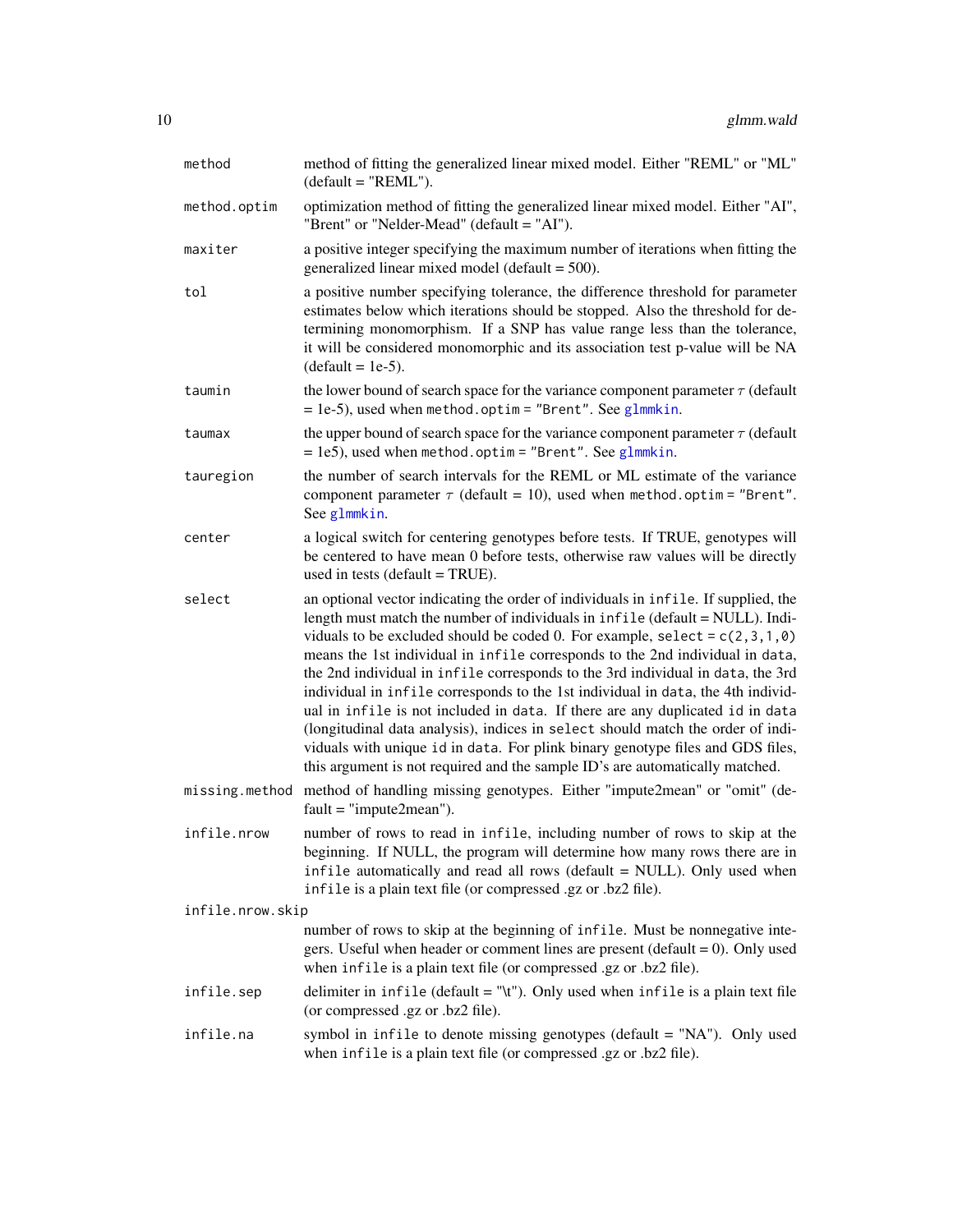<span id="page-9-0"></span>

| method           | method of fitting the generalized linear mixed model. Either "REML" or "ML"<br>$(detault = "REML").$                                                                                                                                                                                                                                                                                                                                                                                                                                                                                                                                                                                                                                                                                                                                              |
|------------------|---------------------------------------------------------------------------------------------------------------------------------------------------------------------------------------------------------------------------------------------------------------------------------------------------------------------------------------------------------------------------------------------------------------------------------------------------------------------------------------------------------------------------------------------------------------------------------------------------------------------------------------------------------------------------------------------------------------------------------------------------------------------------------------------------------------------------------------------------|
| method.optim     | optimization method of fitting the generalized linear mixed model. Either "AI",<br>"Brent" or "Nelder-Mead" (default = "AI").                                                                                                                                                                                                                                                                                                                                                                                                                                                                                                                                                                                                                                                                                                                     |
| maxiter          | a positive integer specifying the maximum number of iterations when fitting the<br>generalized linear mixed model (default $= 500$ ).                                                                                                                                                                                                                                                                                                                                                                                                                                                                                                                                                                                                                                                                                                             |
| tol              | a positive number specifying tolerance, the difference threshold for parameter<br>estimates below which iterations should be stopped. Also the threshold for de-<br>termining monomorphism. If a SNP has value range less than the tolerance,<br>it will be considered monomorphic and its association test p-value will be NA<br>$(default = 1e-5).$                                                                                                                                                                                                                                                                                                                                                                                                                                                                                             |
| taumin           | the lower bound of search space for the variance component parameter $\tau$ (default<br>$= 1e-5$ , used when method.optim = "Brent". See glmmkin.                                                                                                                                                                                                                                                                                                                                                                                                                                                                                                                                                                                                                                                                                                 |
| taumax           | the upper bound of search space for the variance component parameter $\tau$ (default<br>$= 1e5$ ), used when method.optim = "Brent". See glmmkin.                                                                                                                                                                                                                                                                                                                                                                                                                                                                                                                                                                                                                                                                                                 |
| tauregion        | the number of search intervals for the REML or ML estimate of the variance<br>component parameter $\tau$ (default = 10), used when method.optim = "Brent".<br>See glmmkin.                                                                                                                                                                                                                                                                                                                                                                                                                                                                                                                                                                                                                                                                        |
| center           | a logical switch for centering genotypes before tests. If TRUE, genotypes will<br>be centered to have mean 0 before tests, otherwise raw values will be directly<br>used in tests (default = $TRUE$ ).                                                                                                                                                                                                                                                                                                                                                                                                                                                                                                                                                                                                                                            |
| select           | an optional vector indicating the order of individuals in infile. If supplied, the<br>length must match the number of individuals in infile (default = NULL). Indi-<br>viduals to be excluded should be coded 0. For example, select = $c(2,3,1,0)$<br>means the 1st individual in infile corresponds to the 2nd individual in data,<br>the 2nd individual in infile corresponds to the 3rd individual in data, the 3rd<br>individual in infile corresponds to the 1st individual in data, the 4th individ-<br>ual in infile is not included in data. If there are any duplicated id in data<br>(longitudinal data analysis), indices in select should match the order of indi-<br>viduals with unique id in data. For plink binary genotype files and GDS files,<br>this argument is not required and the sample ID's are automatically matched. |
|                  | missing method method of handling missing genotypes. Either "impute2mean" or "omit" (de-<br>$fault = "impute2mean").$                                                                                                                                                                                                                                                                                                                                                                                                                                                                                                                                                                                                                                                                                                                             |
| infile.nrow      | number of rows to read in infile, including number of rows to skip at the<br>beginning. If NULL, the program will determine how many rows there are in<br>infile automatically and read all rows (default = NULL). Only used when<br>infile is a plain text file (or compressed .gz or .bz2 file).                                                                                                                                                                                                                                                                                                                                                                                                                                                                                                                                                |
| infile.nrow.skip |                                                                                                                                                                                                                                                                                                                                                                                                                                                                                                                                                                                                                                                                                                                                                                                                                                                   |
|                  | number of rows to skip at the beginning of infile. Must be nonnegative inte-<br>gers. Useful when header or comment lines are present (default $= 0$ ). Only used<br>when infile is a plain text file (or compressed .gz or .bz2 file).                                                                                                                                                                                                                                                                                                                                                                                                                                                                                                                                                                                                           |
| infile.sep       | delimiter in infile (default = "\t"). Only used when infile is a plain text file<br>(or compressed .gz or .bz2 file).                                                                                                                                                                                                                                                                                                                                                                                                                                                                                                                                                                                                                                                                                                                             |
| infile.na        | symbol in infile to denote missing genotypes (default = "NA"). Only used<br>when infile is a plain text file (or compressed .gz or .bz2 file).                                                                                                                                                                                                                                                                                                                                                                                                                                                                                                                                                                                                                                                                                                    |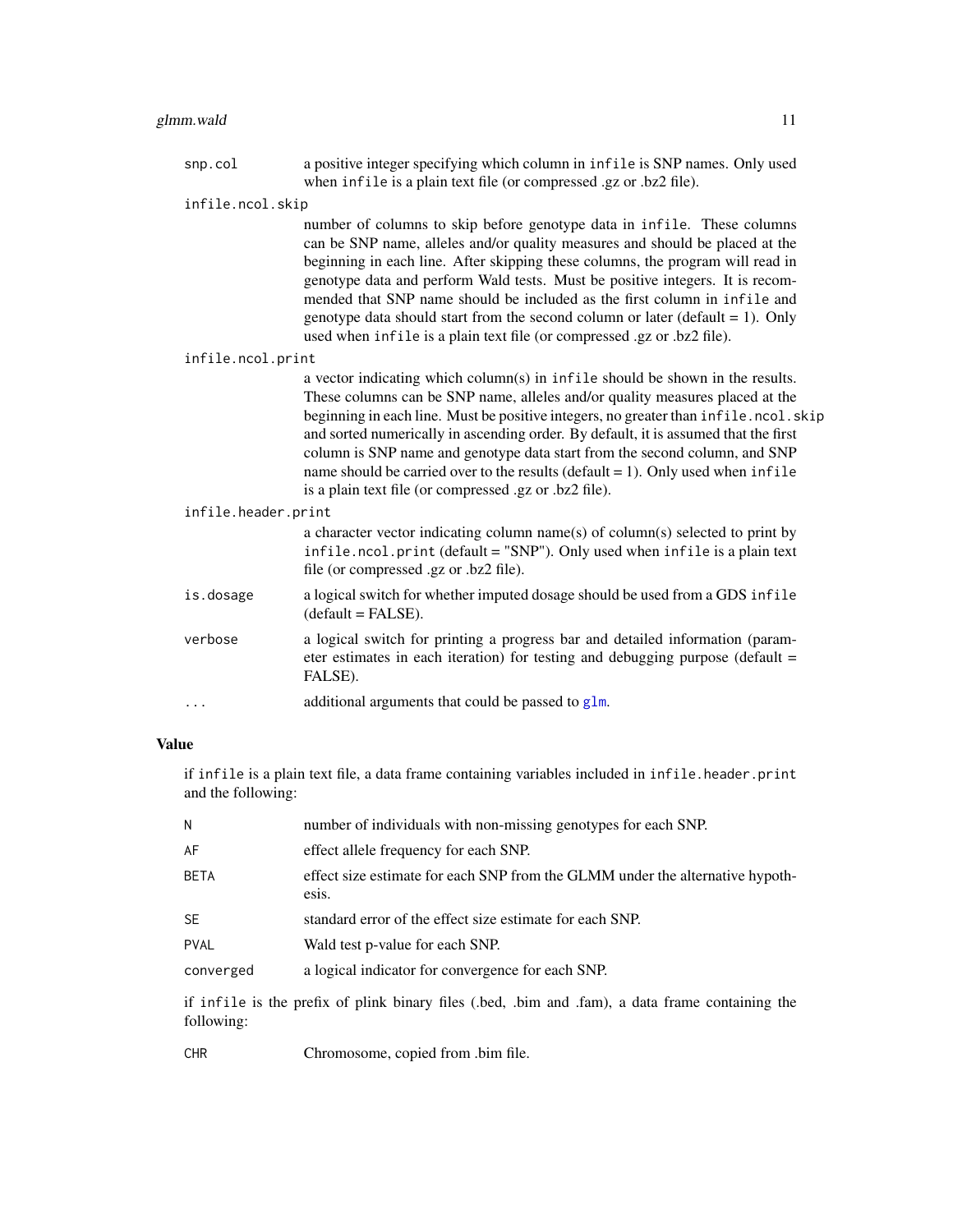<span id="page-10-0"></span>

|                     | snp.col           | a positive integer specifying which column in infile is SNP names. Only used<br>when infile is a plain text file (or compressed .gz or .bz2 file).                                                                                                                                                                                                                                                                                                                                                                                                                         |  |  |
|---------------------|-------------------|----------------------------------------------------------------------------------------------------------------------------------------------------------------------------------------------------------------------------------------------------------------------------------------------------------------------------------------------------------------------------------------------------------------------------------------------------------------------------------------------------------------------------------------------------------------------------|--|--|
| infile.ncol.skip    |                   |                                                                                                                                                                                                                                                                                                                                                                                                                                                                                                                                                                            |  |  |
|                     |                   | number of columns to skip before genotype data in infile. These columns<br>can be SNP name, alleles and/or quality measures and should be placed at the<br>beginning in each line. After skipping these columns, the program will read in<br>genotype data and perform Wald tests. Must be positive integers. It is recom-<br>mended that SNP name should be included as the first column in infile and<br>genotype data should start from the second column or later (default $= 1$ ). Only<br>used when infile is a plain text file (or compressed .gz or .bz2 file).    |  |  |
|                     | infile.ncol.print |                                                                                                                                                                                                                                                                                                                                                                                                                                                                                                                                                                            |  |  |
|                     |                   | a vector indicating which column(s) in infile should be shown in the results.<br>These columns can be SNP name, alleles and/or quality measures placed at the<br>beginning in each line. Must be positive integers, no greater than infile.ncol.skip<br>and sorted numerically in ascending order. By default, it is assumed that the first<br>column is SNP name and genotype data start from the second column, and SNP<br>name should be carried over to the results ( $default = 1$ ). Only used when infile<br>is a plain text file (or compressed .gz or .bz2 file). |  |  |
| infile.header.print |                   |                                                                                                                                                                                                                                                                                                                                                                                                                                                                                                                                                                            |  |  |
|                     |                   | a character vector indicating column name(s) of column(s) selected to print by<br>infile.ncol.print (default = "SNP"). Only used when infile is a plain text<br>file (or compressed .gz or .bz2 file).                                                                                                                                                                                                                                                                                                                                                                     |  |  |
|                     | is.dosage         | a logical switch for whether imputed dosage should be used from a GDS infile<br>$(default = FALSE).$                                                                                                                                                                                                                                                                                                                                                                                                                                                                       |  |  |
|                     | verbose           | a logical switch for printing a progress bar and detailed information (param-<br>eter estimates in each iteration) for testing and debugging purpose (default =<br>FALSE).                                                                                                                                                                                                                                                                                                                                                                                                 |  |  |
|                     | .                 | additional arguments that could be passed to glm.                                                                                                                                                                                                                                                                                                                                                                                                                                                                                                                          |  |  |
| <b>Value</b>        |                   |                                                                                                                                                                                                                                                                                                                                                                                                                                                                                                                                                                            |  |  |

if infile is a plain text file, a data frame containing variables included in infile.header.print and the following:

| N                                                                                                           | number of individuals with non-missing genotypes for each SNP.                         |  |
|-------------------------------------------------------------------------------------------------------------|----------------------------------------------------------------------------------------|--|
| AF                                                                                                          | effect allele frequency for each SNP.                                                  |  |
| <b>BETA</b>                                                                                                 | effect size estimate for each SNP from the GLMM under the alternative hypoth-<br>esis. |  |
| <b>SE</b>                                                                                                   | standard error of the effect size estimate for each SNP.                               |  |
| <b>PVAL</b>                                                                                                 | Wald test p-value for each SNP.                                                        |  |
| converged                                                                                                   | a logical indicator for convergence for each SNP.                                      |  |
| if infile is the prefix of plink binary files (bed, bim and fam), a data frame containing the<br>following: |                                                                                        |  |

CHR Chromosome, copied from .bim file.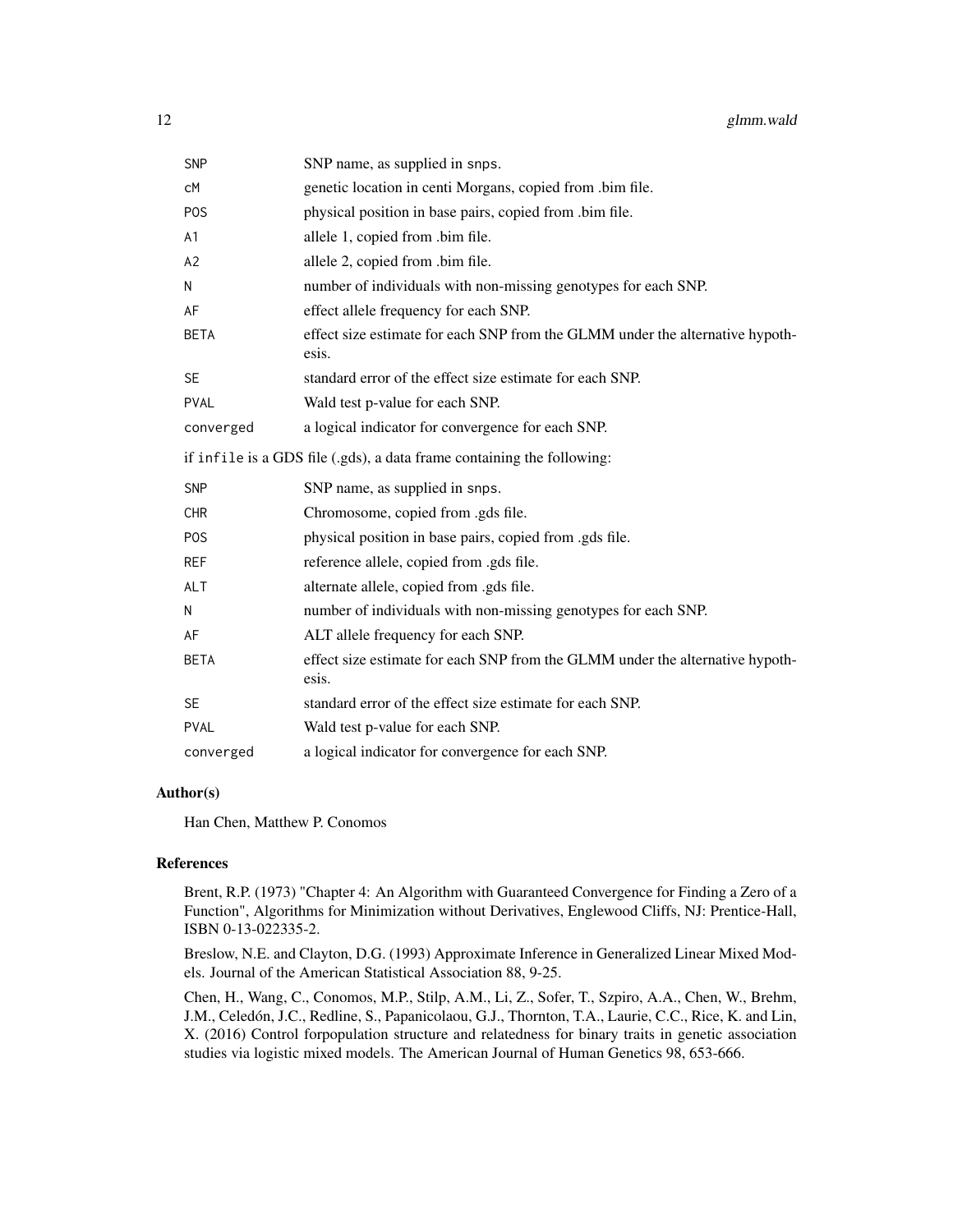| <b>SNP</b>     | SNP name, as supplied in snps.                                                         |
|----------------|----------------------------------------------------------------------------------------|
| сM             | genetic location in centi Morgans, copied from .bim file.                              |
| <b>POS</b>     | physical position in base pairs, copied from .bim file.                                |
| A <sub>1</sub> | allele 1, copied from .bim file.                                                       |
| A2             | allele 2, copied from .bim file.                                                       |
| N              | number of individuals with non-missing genotypes for each SNP.                         |
| AF             | effect allele frequency for each SNP.                                                  |
| <b>BETA</b>    | effect size estimate for each SNP from the GLMM under the alternative hypoth-<br>esis. |
| <b>SE</b>      | standard error of the effect size estimate for each SNP.                               |
| <b>PVAL</b>    | Wald test p-value for each SNP.                                                        |
| converged      | a logical indicator for convergence for each SNP.                                      |
|                | if infile is a GDS file (.gds), a data frame containing the following:                 |
| <b>SNP</b>     | SNP name, as supplied in snps.                                                         |
| <b>CHR</b>     | Chromosome, copied from .gds file.                                                     |
| <b>POS</b>     | physical position in base pairs, copied from .gds file.                                |
| <b>REF</b>     | reference allele, copied from .gds file.                                               |
| <b>ALT</b>     | alternate allele, copied from .gds file.                                               |
| N              | number of individuals with non-missing genotypes for each SNP.                         |
| AF             | ALT allele frequency for each SNP.                                                     |
| <b>BETA</b>    | effect size estimate for each SNP from the GLMM under the alternative hypoth-<br>esis. |
| <b>SE</b>      | standard error of the effect size estimate for each SNP.                               |
| <b>PVAL</b>    | Wald test p-value for each SNP.                                                        |
| converged      | a logical indicator for convergence for each SNP.                                      |

# Author(s)

Han Chen, Matthew P. Conomos

## References

Brent, R.P. (1973) "Chapter 4: An Algorithm with Guaranteed Convergence for Finding a Zero of a Function", Algorithms for Minimization without Derivatives, Englewood Cliffs, NJ: Prentice-Hall, ISBN 0-13-022335-2.

Breslow, N.E. and Clayton, D.G. (1993) Approximate Inference in Generalized Linear Mixed Models. Journal of the American Statistical Association 88, 9-25.

Chen, H., Wang, C., Conomos, M.P., Stilp, A.M., Li, Z., Sofer, T., Szpiro, A.A., Chen, W., Brehm, J.M., Celedón, J.C., Redline, S., Papanicolaou, G.J., Thornton, T.A., Laurie, C.C., Rice, K. and Lin, X. (2016) Control forpopulation structure and relatedness for binary traits in genetic association studies via logistic mixed models. The American Journal of Human Genetics 98, 653-666.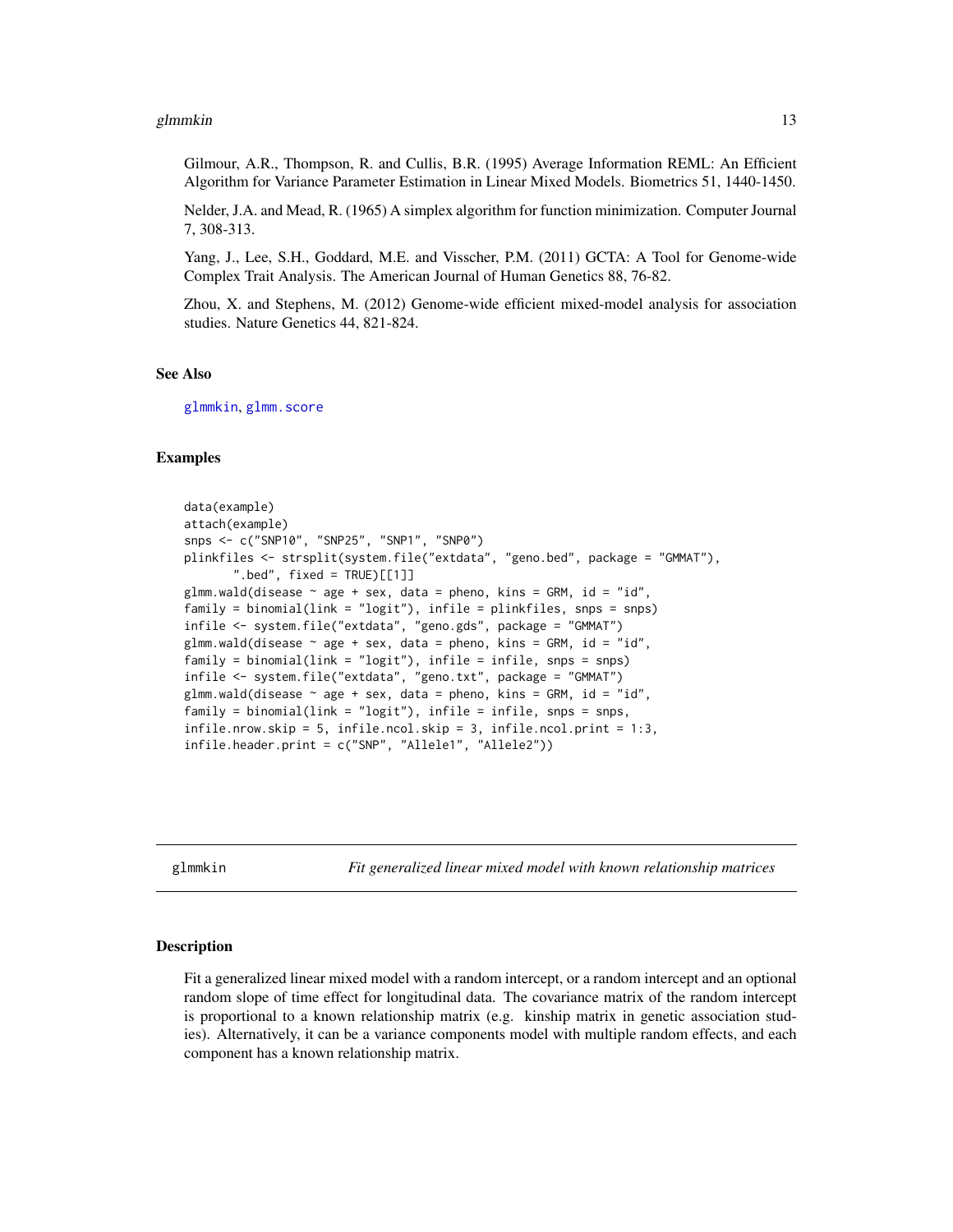#### <span id="page-12-0"></span>glmmkin and the state of the state of the state of the state of the state of the state of the state of the state of the state of the state of the state of the state of the state of the state of the state of the state of th

Gilmour, A.R., Thompson, R. and Cullis, B.R. (1995) Average Information REML: An Efficient Algorithm for Variance Parameter Estimation in Linear Mixed Models. Biometrics 51, 1440-1450.

Nelder, J.A. and Mead, R. (1965) A simplex algorithm for function minimization. Computer Journal 7, 308-313.

Yang, J., Lee, S.H., Goddard, M.E. and Visscher, P.M. (2011) GCTA: A Tool for Genome-wide Complex Trait Analysis. The American Journal of Human Genetics 88, 76-82.

Zhou, X. and Stephens, M. (2012) Genome-wide efficient mixed-model analysis for association studies. Nature Genetics 44, 821-824.

#### See Also

[glmmkin](#page-12-1), [glmm.score](#page-3-1)

#### Examples

```
data(example)
attach(example)
snps <- c("SNP10", "SNP25", "SNP1", "SNP0")
plinkfiles <- strsplit(system.file("extdata", "geno.bed", package = "GMMAT"),
       ".bed", fixed = TRUE [[1]]
glmm.wald(disease \sim age + sex, data = pheno, kins = GRM, id = "id",
family = binomial(link = "logit"), infile = plinkfiles, snps = snps)
infile <- system.file("extdata", "geno.gds", package = "GMMAT")
glmm.wald(disease \sim age + sex, data = pheno, kins = GRM, id = "id",
family = binomial(link = "logit"), infile = infile, snps = snps)
infile <- system.file("extdata", "geno.txt", package = "GMMAT")
glmm.wald(disease \sim age + sex, data = pheno, kins = GRM, id = "id",
family = binomial(link = "logit"), infile = infile, snps = snps,
infile.nrow.skip = 5, infile.ncol.skip = 3, infile.ncol.print = 1:3,
infile.header.print = c("SNP", "Allele1", "Allele2"))
```
<span id="page-12-1"></span>glmmkin *Fit generalized linear mixed model with known relationship matrices*

#### Description

Fit a generalized linear mixed model with a random intercept, or a random intercept and an optional random slope of time effect for longitudinal data. The covariance matrix of the random intercept is proportional to a known relationship matrix (e.g. kinship matrix in genetic association studies). Alternatively, it can be a variance components model with multiple random effects, and each component has a known relationship matrix.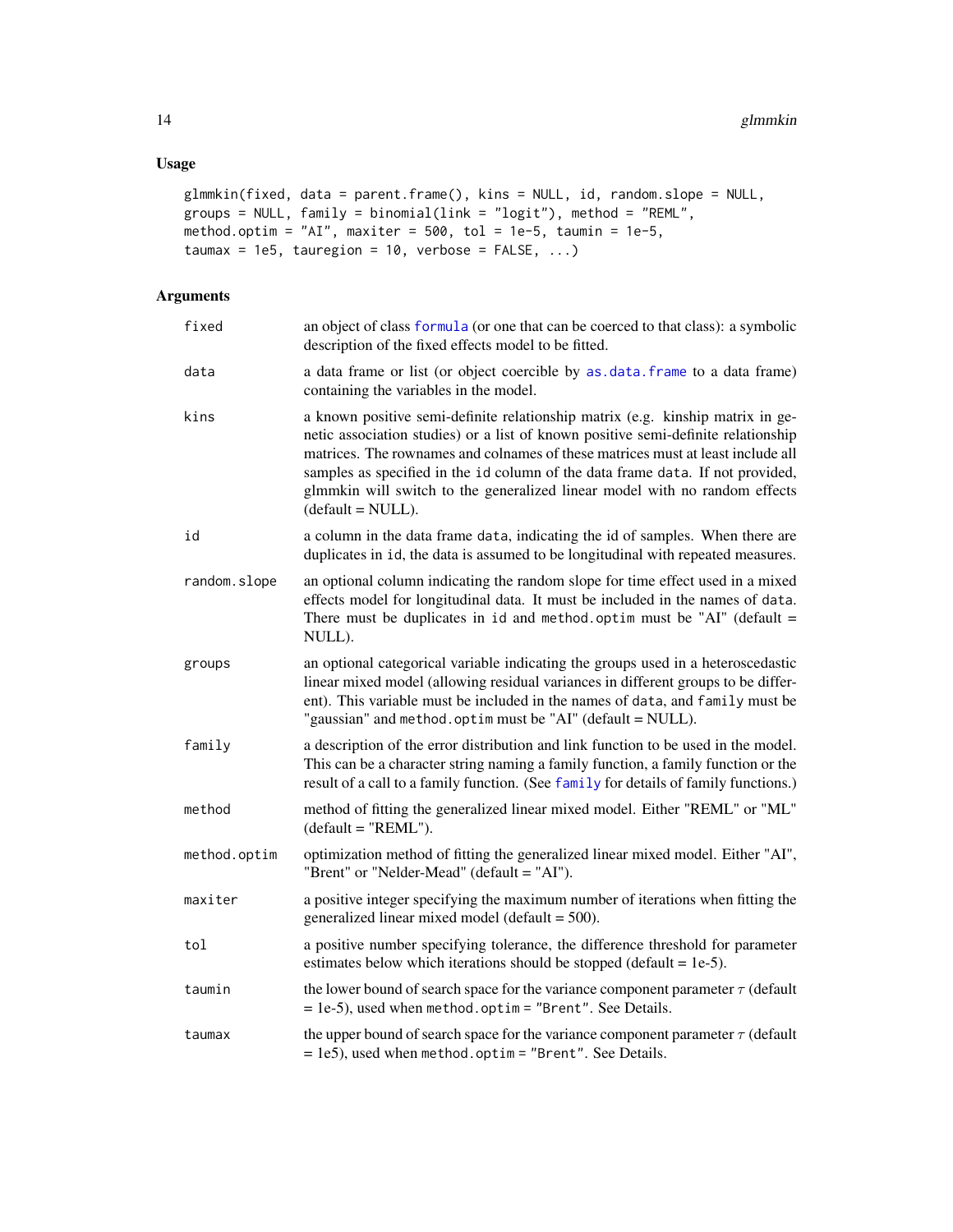# <span id="page-13-0"></span>Usage

```
glmmkin(fixed, data = parent.frame(), kins = NULL, id, random.slope = NULL,
groups = NULL, family = binomial(link = "logit"), method = "REML",
method.optim = "AI", maxiter = 500, tol = 1e-5, taumin = 1e-5,
taumax = 1e5, tauregion = 10, verbose = FALSE, ...)
```

| fixed        | an object of class formula (or one that can be coerced to that class): a symbolic<br>description of the fixed effects model to be fitted.                                                                                                                                                                                                                                                                                                     |
|--------------|-----------------------------------------------------------------------------------------------------------------------------------------------------------------------------------------------------------------------------------------------------------------------------------------------------------------------------------------------------------------------------------------------------------------------------------------------|
| data         | a data frame or list (or object coercible by as data. frame to a data frame)<br>containing the variables in the model.                                                                                                                                                                                                                                                                                                                        |
| kins         | a known positive semi-definite relationship matrix (e.g. kinship matrix in ge-<br>netic association studies) or a list of known positive semi-definite relationship<br>matrices. The rownames and colnames of these matrices must at least include all<br>samples as specified in the id column of the data frame data. If not provided,<br>glmmkin will switch to the generalized linear model with no random effects<br>$(default = NULL).$ |
| id           | a column in the data frame data, indicating the id of samples. When there are<br>duplicates in id, the data is assumed to be longitudinal with repeated measures.                                                                                                                                                                                                                                                                             |
| random.slope | an optional column indicating the random slope for time effect used in a mixed<br>effects model for longitudinal data. It must be included in the names of data.<br>There must be duplicates in id and method. optim must be "AI" (default $=$<br>NULL).                                                                                                                                                                                      |
| groups       | an optional categorical variable indicating the groups used in a heteroscedastic<br>linear mixed model (allowing residual variances in different groups to be differ-<br>ent). This variable must be included in the names of data, and family must be<br>"gaussian" and method.optim must be "AI" (default = NULL).                                                                                                                          |
| family       | a description of the error distribution and link function to be used in the model.<br>This can be a character string naming a family function, a family function or the<br>result of a call to a family function. (See family for details of family functions.)                                                                                                                                                                               |
| method       | method of fitting the generalized linear mixed model. Either "REML" or "ML"<br>$(default = "REML").$                                                                                                                                                                                                                                                                                                                                          |
| method.optim | optimization method of fitting the generalized linear mixed model. Either "AI",<br>"Brent" or "Nelder-Mead" (default = "AI").                                                                                                                                                                                                                                                                                                                 |
| maxiter      | a positive integer specifying the maximum number of iterations when fitting the<br>generalized linear mixed model (default = 500).                                                                                                                                                                                                                                                                                                            |
| tol          | a positive number specifying tolerance, the difference threshold for parameter<br>estimates below which iterations should be stopped (default $= 1e-5$ ).                                                                                                                                                                                                                                                                                     |
| taumin       | the lower bound of search space for the variance component parameter $\tau$ (default<br>$= 1e-5$ , used when method.optim = "Brent". See Details.                                                                                                                                                                                                                                                                                             |
| taumax       | the upper bound of search space for the variance component parameter $\tau$ (default<br>$= 1e5$ ), used when method.optim = "Brent". See Details.                                                                                                                                                                                                                                                                                             |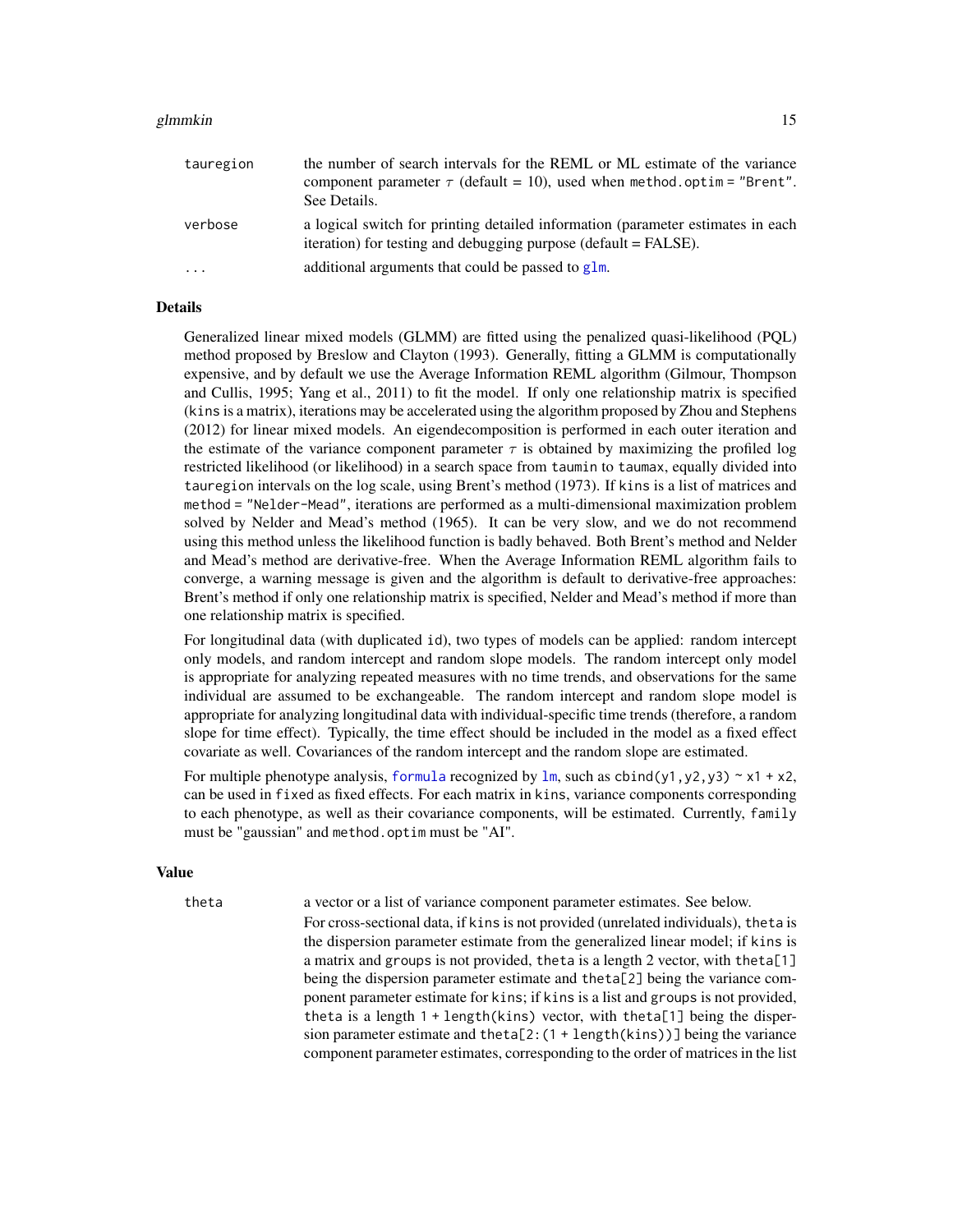#### <span id="page-14-0"></span>glmmkin to the state of the state of the state of the state of the state of the state of the state of the state of the state of the state of the state of the state of the state of the state of the state of the state of the

| tauregion | the number of search intervals for the REML or ML estimate of the variance<br>component parameter $\tau$ (default = 10), used when method optim = "Brent".<br>See Details. |
|-----------|----------------------------------------------------------------------------------------------------------------------------------------------------------------------------|
| verbose   | a logical switch for printing detailed information (parameter estimates in each<br>iteration) for testing and debugging purpose (default = FALSE).                         |
| .         | additional arguments that could be passed to glm.                                                                                                                          |

#### Details

Generalized linear mixed models (GLMM) are fitted using the penalized quasi-likelihood (PQL) method proposed by Breslow and Clayton (1993). Generally, fitting a GLMM is computationally expensive, and by default we use the Average Information REML algorithm (Gilmour, Thompson and Cullis, 1995; Yang et al., 2011) to fit the model. If only one relationship matrix is specified (kins is a matrix), iterations may be accelerated using the algorithm proposed by Zhou and Stephens (2012) for linear mixed models. An eigendecomposition is performed in each outer iteration and the estimate of the variance component parameter  $\tau$  is obtained by maximizing the profiled log restricted likelihood (or likelihood) in a search space from taumin to taumax, equally divided into tauregion intervals on the log scale, using Brent's method (1973). If kins is a list of matrices and method = "Nelder-Mead", iterations are performed as a multi-dimensional maximization problem solved by Nelder and Mead's method (1965). It can be very slow, and we do not recommend using this method unless the likelihood function is badly behaved. Both Brent's method and Nelder and Mead's method are derivative-free. When the Average Information REML algorithm fails to converge, a warning message is given and the algorithm is default to derivative-free approaches: Brent's method if only one relationship matrix is specified, Nelder and Mead's method if more than one relationship matrix is specified.

For longitudinal data (with duplicated id), two types of models can be applied: random intercept only models, and random intercept and random slope models. The random intercept only model is appropriate for analyzing repeated measures with no time trends, and observations for the same individual are assumed to be exchangeable. The random intercept and random slope model is appropriate for analyzing longitudinal data with individual-specific time trends (therefore, a random slope for time effect). Typically, the time effect should be included in the model as a fixed effect covariate as well. Covariances of the random intercept and the random slope are estimated.

For multiple phenotype analysis, [formula](#page-0-0) recognized by  $\text{lm}$  $\text{lm}$  $\text{lm}$ , such as cbind(y1,y2,y3) ~ x1 + x2, can be used in fixed as fixed effects. For each matrix in kins, variance components corresponding to each phenotype, as well as their covariance components, will be estimated. Currently, family must be "gaussian" and method.optim must be "AI".

### Value

theta a vector or a list of variance component parameter estimates. See below.

For cross-sectional data, if kins is not provided (unrelated individuals), theta is the dispersion parameter estimate from the generalized linear model; if kins is a matrix and groups is not provided, theta is a length 2 vector, with the ta $[1]$ being the dispersion parameter estimate and theta[2] being the variance component parameter estimate for kins; if kins is a list and groups is not provided, theta is a length  $1 + \text{length}(kins)$  vector, with theta[1] being the dispersion parameter estimate and theta[2:(1 + length(kins))] being the variance component parameter estimates, corresponding to the order of matrices in the list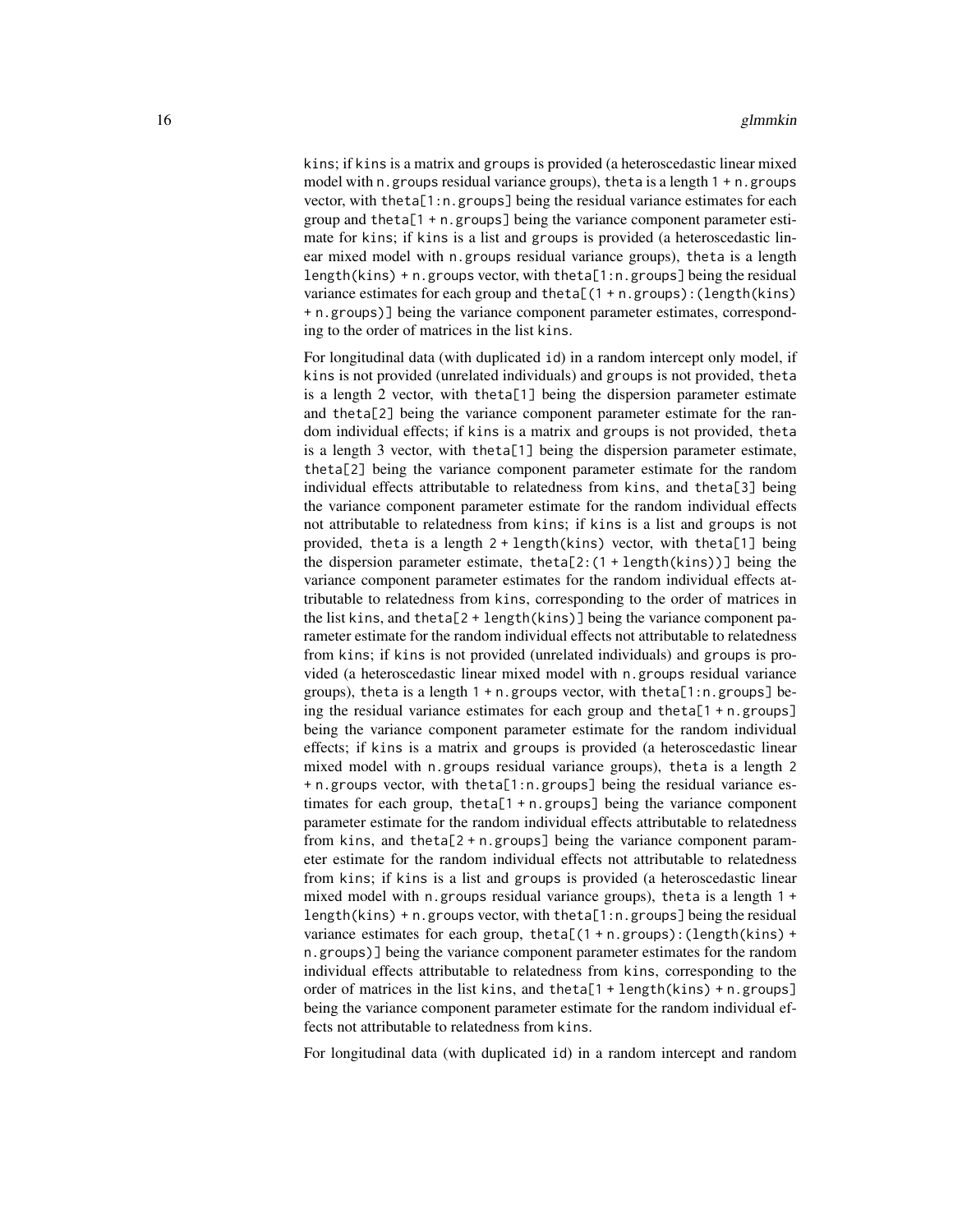kins; if kins is a matrix and groups is provided (a heteroscedastic linear mixed model with n. groups residual variance groups), the tais a length  $1 + n$ . groups vector, with theta[1:n.groups] being the residual variance estimates for each group and theta[1 + n.groups] being the variance component parameter estimate for kins; if kins is a list and groups is provided (a heteroscedastic linear mixed model with n.groups residual variance groups), theta is a length length(kins) + n.groups vector, with theta[1:n.groups] being the residual variance estimates for each group and the ta $[(1 + n.groups):(length(kins))$ + n.groups)] being the variance component parameter estimates, corresponding to the order of matrices in the list kins.

For longitudinal data (with duplicated id) in a random intercept only model, if kins is not provided (unrelated individuals) and groups is not provided, theta is a length 2 vector, with theta[1] being the dispersion parameter estimate and theta[2] being the variance component parameter estimate for the random individual effects; if kins is a matrix and groups is not provided, theta is a length 3 vector, with theta[1] being the dispersion parameter estimate, theta[2] being the variance component parameter estimate for the random individual effects attributable to relatedness from kins, and theta[3] being the variance component parameter estimate for the random individual effects not attributable to relatedness from kins; if kins is a list and groups is not provided, theta is a length 2 + length(kins) vector, with theta[1] being the dispersion parameter estimate, theta[2: $(1 + \text{length}(kins))$ ] being the variance component parameter estimates for the random individual effects attributable to relatedness from kins, corresponding to the order of matrices in the list kins, and theta[2 + length(kins)] being the variance component parameter estimate for the random individual effects not attributable to relatedness from kins; if kins is not provided (unrelated individuals) and groups is provided (a heteroscedastic linear mixed model with n.groups residual variance groups), theta is a length 1 + n.groups vector, with theta[1:n.groups] being the residual variance estimates for each group and theta[1 + n.groups] being the variance component parameter estimate for the random individual effects; if kins is a matrix and groups is provided (a heteroscedastic linear mixed model with n.groups residual variance groups), theta is a length 2 + n.groups vector, with theta[1:n.groups] being the residual variance estimates for each group, theta[1 + n.groups] being the variance component parameter estimate for the random individual effects attributable to relatedness from kins, and theta[2 + n.groups] being the variance component parameter estimate for the random individual effects not attributable to relatedness from kins; if kins is a list and groups is provided (a heteroscedastic linear mixed model with n.groups residual variance groups), theta is a length 1 + length(kins) + n.groups vector, with theta[1:n.groups] being the residual variance estimates for each group, theta[ $(1 + n.groups)$ : (length(kins) + n.groups)] being the variance component parameter estimates for the random individual effects attributable to relatedness from kins, corresponding to the order of matrices in the list kins, and theta $[1 + \text{length}(kins) + n.groups]$ being the variance component parameter estimate for the random individual effects not attributable to relatedness from kins.

For longitudinal data (with duplicated id) in a random intercept and random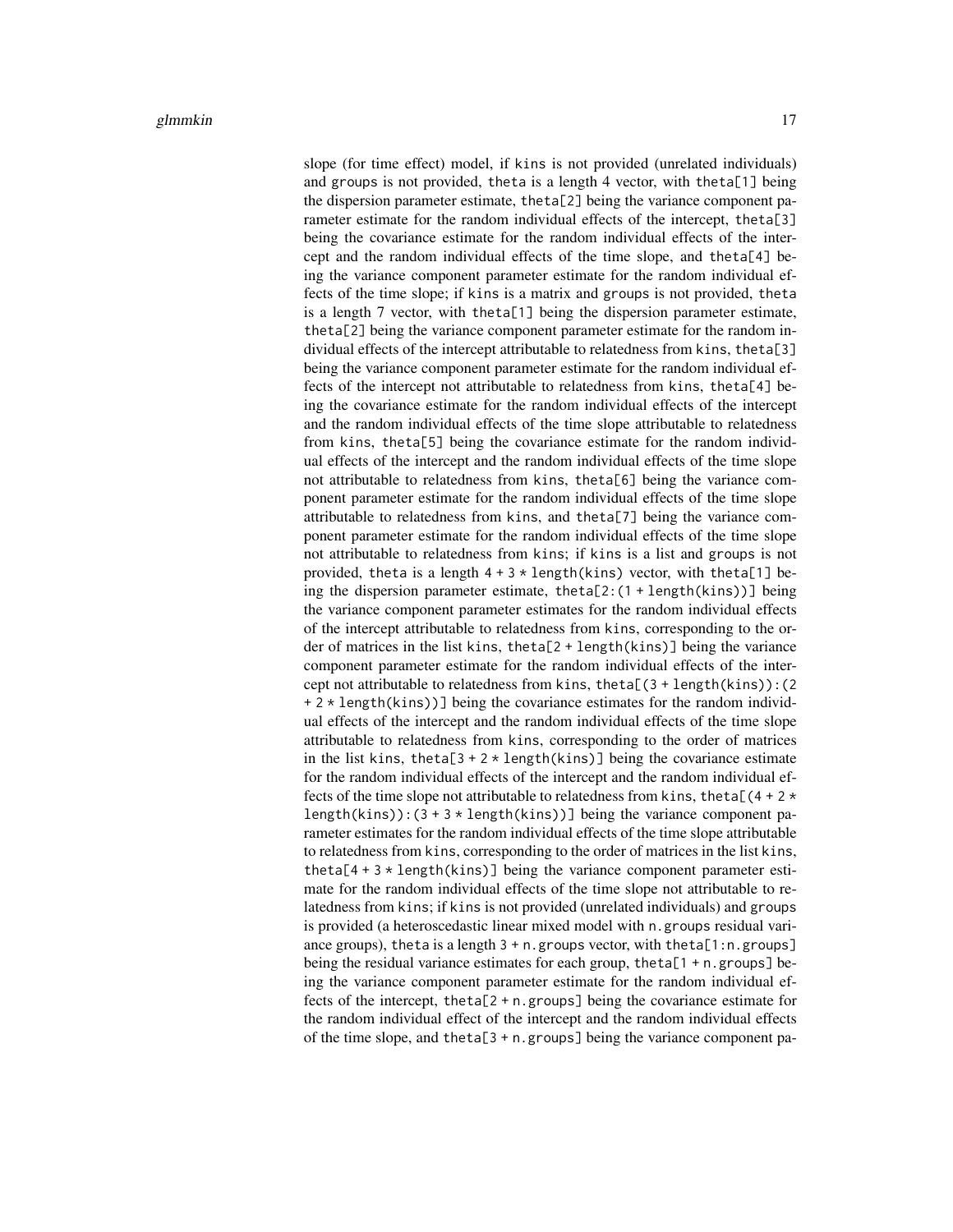slope (for time effect) model, if kins is not provided (unrelated individuals) and groups is not provided, theta is a length 4 vector, with theta[1] being the dispersion parameter estimate, theta[2] being the variance component parameter estimate for the random individual effects of the intercept, theta[3] being the covariance estimate for the random individual effects of the intercept and the random individual effects of the time slope, and theta[4] being the variance component parameter estimate for the random individual effects of the time slope; if kins is a matrix and groups is not provided, theta is a length 7 vector, with theta[1] being the dispersion parameter estimate, theta[2] being the variance component parameter estimate for the random individual effects of the intercept attributable to relatedness from kins, theta[3] being the variance component parameter estimate for the random individual effects of the intercept not attributable to relatedness from kins, theta[4] being the covariance estimate for the random individual effects of the intercept and the random individual effects of the time slope attributable to relatedness from kins, theta[5] being the covariance estimate for the random individual effects of the intercept and the random individual effects of the time slope not attributable to relatedness from kins, theta[6] being the variance component parameter estimate for the random individual effects of the time slope attributable to relatedness from kins, and theta[7] being the variance component parameter estimate for the random individual effects of the time slope not attributable to relatedness from kins; if kins is a list and groups is not provided, theta is a length  $4 + 3 *$  length(kins) vector, with theta[1] being the dispersion parameter estimate, theta[2:(1 + length(kins))] being the variance component parameter estimates for the random individual effects of the intercept attributable to relatedness from kins, corresponding to the order of matrices in the list kins, theta[2 + length(kins)] being the variance component parameter estimate for the random individual effects of the intercept not attributable to relatedness from kins, theta[(3 + length(kins)):(2  $+ 2 \times \text{length}(kins))$ ] being the covariance estimates for the random individual effects of the intercept and the random individual effects of the time slope attributable to relatedness from kins, corresponding to the order of matrices in the list kins, theta[3 + 2  $\star$  length(kins)] being the covariance estimate for the random individual effects of the intercept and the random individual effects of the time slope not attributable to relatedness from kins, theta[ $(4 + 2 \times$ length(kins)):  $(3 + 3 * length(kins))]$  being the variance component parameter estimates for the random individual effects of the time slope attributable to relatedness from kins, corresponding to the order of matrices in the list kins, theta[ $4 + 3 \times$  length(kins)] being the variance component parameter estimate for the random individual effects of the time slope not attributable to relatedness from kins; if kins is not provided (unrelated individuals) and groups is provided (a heteroscedastic linear mixed model with n.groups residual variance groups), theta is a length  $3 + n$ . groups vector, with theta[1:n.groups] being the residual variance estimates for each group, theta[1 + n.groups] being the variance component parameter estimate for the random individual effects of the intercept, theta[2 + n.groups] being the covariance estimate for the random individual effect of the intercept and the random individual effects of the time slope, and theta[3 + n.groups] being the variance component pa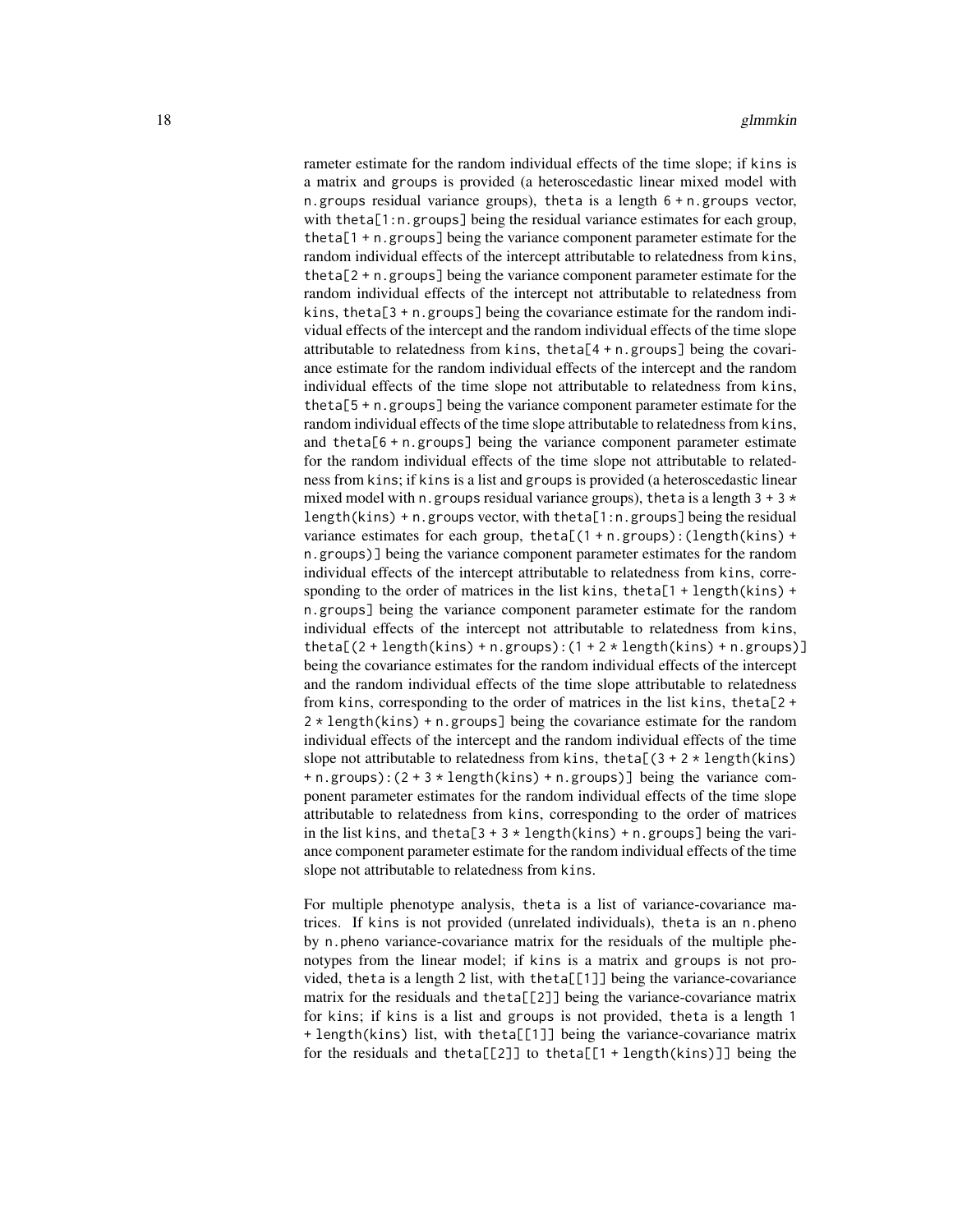rameter estimate for the random individual effects of the time slope; if kins is a matrix and groups is provided (a heteroscedastic linear mixed model with n.groups residual variance groups), theta is a length  $6 + n$  groups vector, with theta[1:n.groups] being the residual variance estimates for each group, theta[1 + n.groups] being the variance component parameter estimate for the random individual effects of the intercept attributable to relatedness from kins, theta[2 + n.groups] being the variance component parameter estimate for the random individual effects of the intercept not attributable to relatedness from kins, theta[ $3 + n$  groups] being the covariance estimate for the random individual effects of the intercept and the random individual effects of the time slope attributable to relatedness from kins, theta[4 + n.groups] being the covariance estimate for the random individual effects of the intercept and the random individual effects of the time slope not attributable to relatedness from kins, theta[5 + n.groups] being the variance component parameter estimate for the random individual effects of the time slope attributable to relatedness from kins, and theta[6 + n.groups] being the variance component parameter estimate for the random individual effects of the time slope not attributable to relatedness from kins; if kins is a list and groups is provided (a heteroscedastic linear mixed model with n.groups residual variance groups), the tais a length  $3 + 3 \times$  $length(kins) + n$ . groups vector, with the ta $[1:n]$  groups being the residual variance estimates for each group, theta[ $(1 + n.groups)$ :  $(length(kins) +$ n.groups)] being the variance component parameter estimates for the random individual effects of the intercept attributable to relatedness from kins, corresponding to the order of matrices in the list kins, theta[1 + length(kins) + n.groups] being the variance component parameter estimate for the random individual effects of the intercept not attributable to relatedness from kins, theta[ $(2 + length(kins) + n.groups)$ : $(1 + 2 * length(kins) + n.groups)$ ] being the covariance estimates for the random individual effects of the intercept and the random individual effects of the time slope attributable to relatedness from kins, corresponding to the order of matrices in the list kins, theta[2 + 2 \* length(kins) + n.groups] being the covariance estimate for the random individual effects of the intercept and the random individual effects of the time slope not attributable to relatedness from kins, theta[ $(3 + 2 \times \text{length}(kins))$ ] + n.groups):(2 + 3 \* length(kins) + n.groups)] being the variance component parameter estimates for the random individual effects of the time slope attributable to relatedness from kins, corresponding to the order of matrices in the list kins, and theta[3 + 3  $\star$  length(kins) + n.groups] being the variance component parameter estimate for the random individual effects of the time slope not attributable to relatedness from kins.

For multiple phenotype analysis, theta is a list of variance-covariance matrices. If kins is not provided (unrelated individuals), theta is an n.pheno by n.pheno variance-covariance matrix for the residuals of the multiple phenotypes from the linear model; if kins is a matrix and groups is not provided, theta is a length 2 list, with theta[[1]] being the variance-covariance matrix for the residuals and theta[[2]] being the variance-covariance matrix for kins; if kins is a list and groups is not provided, theta is a length 1 + length(kins) list, with theta[[1]] being the variance-covariance matrix for the residuals and theta[[2]] to theta[[1 + length(kins)]] being the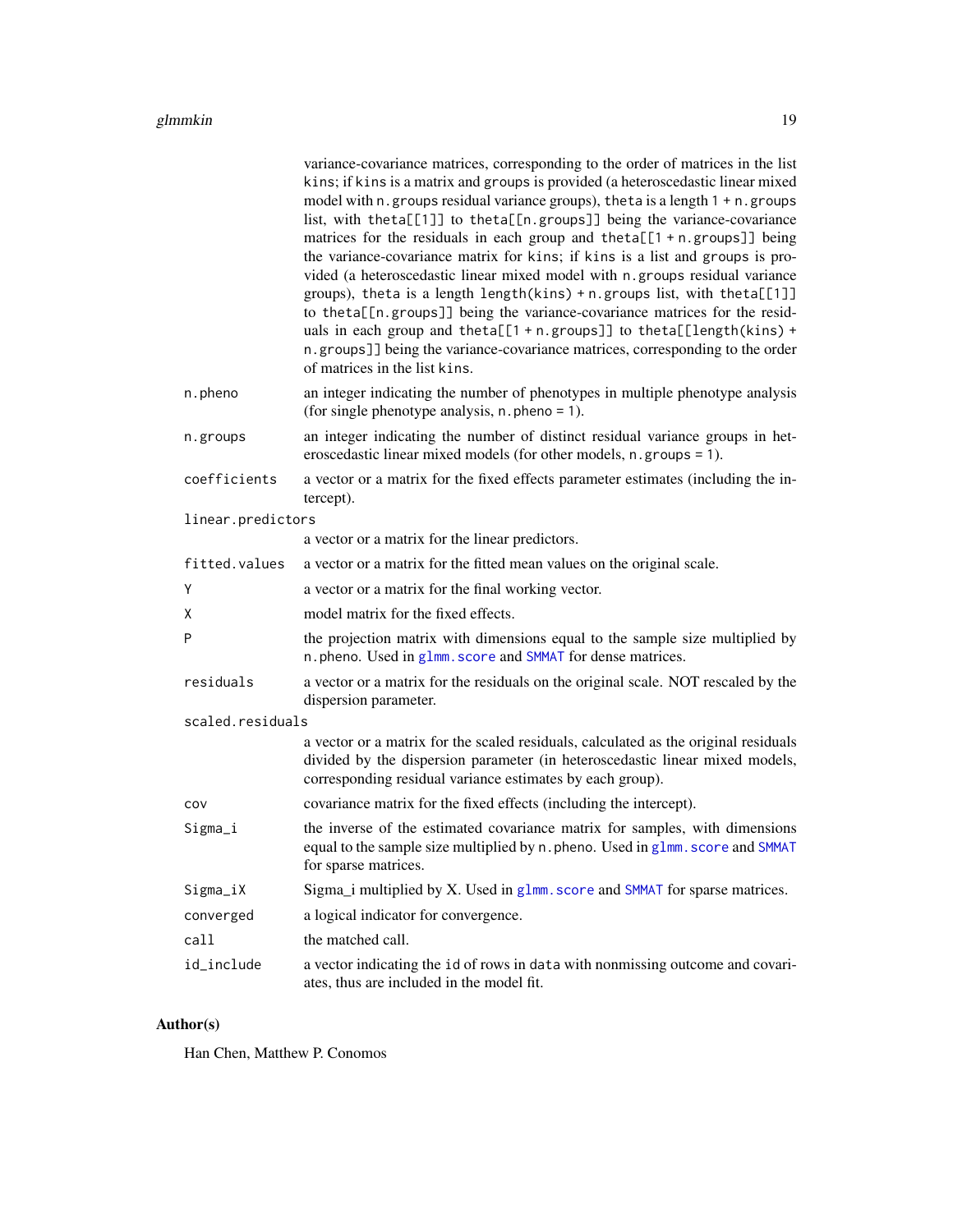<span id="page-18-0"></span>

|                   | variance-covariance matrices, corresponding to the order of matrices in the list                                                                                                                                                 |
|-------------------|----------------------------------------------------------------------------------------------------------------------------------------------------------------------------------------------------------------------------------|
|                   | kins; if kins is a matrix and groups is provided (a heteroscedastic linear mixed                                                                                                                                                 |
|                   | model with n. groups residual variance groups), the ta is a length 1 + n. groups<br>list, with theta[[1]] to theta[[n.groups]] being the variance-covariance                                                                     |
|                   | matrices for the residuals in each group and theta $[1 + n.groups]]$ being                                                                                                                                                       |
|                   | the variance-covariance matrix for kins; if kins is a list and groups is pro-                                                                                                                                                    |
|                   | vided (a heteroscedastic linear mixed model with n groups residual variance                                                                                                                                                      |
|                   | groups), theta is a length length(kins) + n. groups list, with theta[[1]]                                                                                                                                                        |
|                   | to theta[[n.groups]] being the variance-covariance matrices for the resid-<br>uals in each group and theta[[1 + n.groups]] to theta[[length(kins) +                                                                              |
|                   | n.groups]] being the variance-covariance matrices, corresponding to the order                                                                                                                                                    |
|                   | of matrices in the list kins.                                                                                                                                                                                                    |
| n.pheno           | an integer indicating the number of phenotypes in multiple phenotype analysis<br>(for single phenotype analysis, $n$ . pheno = 1).                                                                                               |
| n.groups          | an integer indicating the number of distinct residual variance groups in het-<br>eroscedastic linear mixed models (for other models, n. groups = 1).                                                                             |
| coefficients      | a vector or a matrix for the fixed effects parameter estimates (including the in-<br>tercept).                                                                                                                                   |
| linear.predictors |                                                                                                                                                                                                                                  |
|                   | a vector or a matrix for the linear predictors.                                                                                                                                                                                  |
| fitted.values     | a vector or a matrix for the fitted mean values on the original scale.                                                                                                                                                           |
| Υ                 | a vector or a matrix for the final working vector.                                                                                                                                                                               |
| X                 | model matrix for the fixed effects.                                                                                                                                                                                              |
| P                 | the projection matrix with dimensions equal to the sample size multiplied by<br>n. pheno. Used in glmm. score and SMMAT for dense matrices.                                                                                      |
| residuals         | a vector or a matrix for the residuals on the original scale. NOT rescaled by the<br>dispersion parameter.                                                                                                                       |
| scaled.residuals  |                                                                                                                                                                                                                                  |
|                   | a vector or a matrix for the scaled residuals, calculated as the original residuals<br>divided by the dispersion parameter (in heteroscedastic linear mixed models,<br>corresponding residual variance estimates by each group). |
| COV               | covariance matrix for the fixed effects (including the intercept).                                                                                                                                                               |
| Sigma_i           | the inverse of the estimated covariance matrix for samples, with dimensions                                                                                                                                                      |
|                   | equal to the sample size multiplied by n. pheno. Used in glmm. score and SMMAT<br>for sparse matrices.                                                                                                                           |
| Sigma_iX          | Sigma_i multiplied by X. Used in g1mm. score and SMMAT for sparse matrices.                                                                                                                                                      |
| converged         | a logical indicator for convergence.                                                                                                                                                                                             |
| call              | the matched call.                                                                                                                                                                                                                |
| id_include        | a vector indicating the id of rows in data with nonmissing outcome and covari-<br>ates, thus are included in the model fit.                                                                                                      |

# Author(s)

Han Chen, Matthew P. Conomos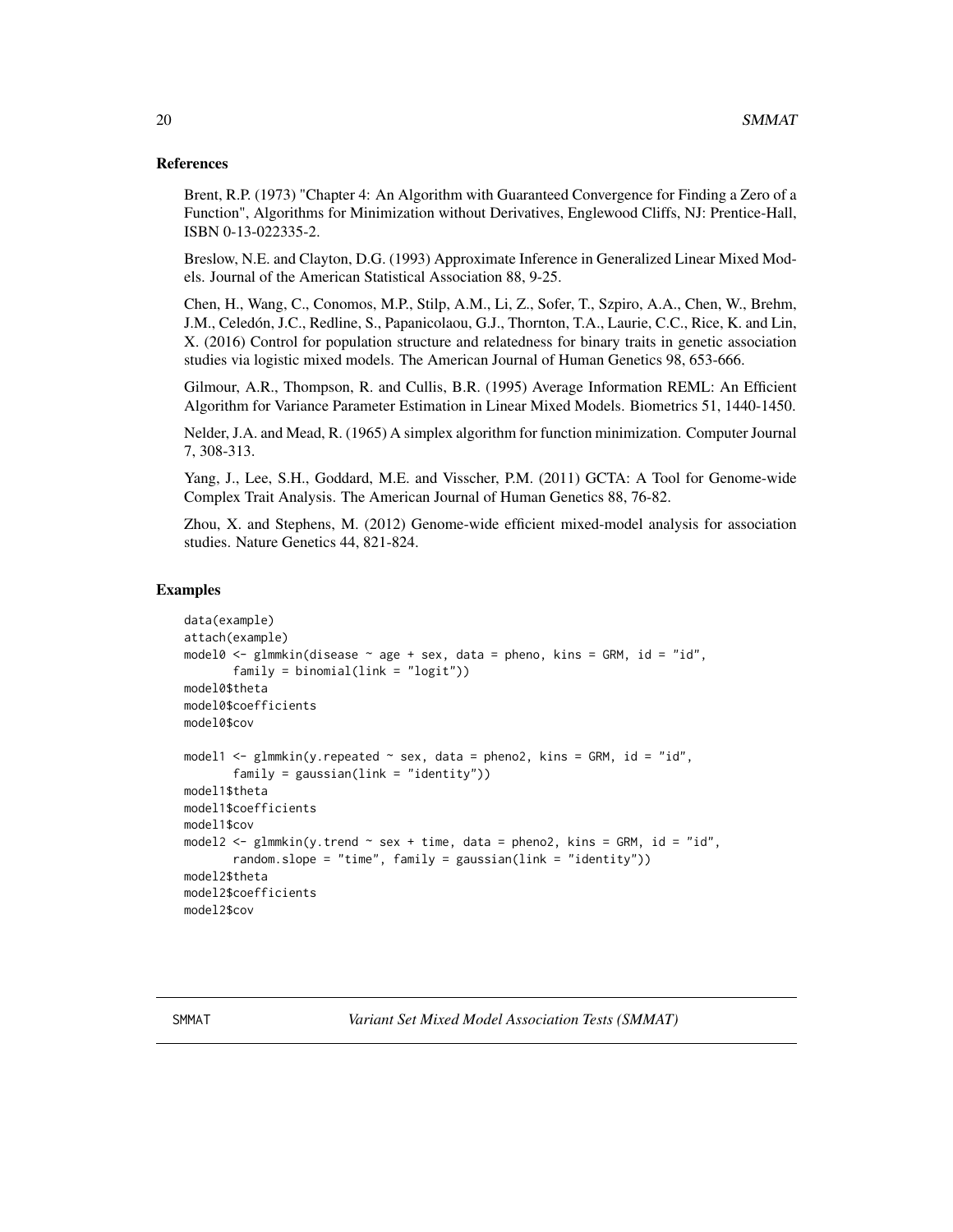#### <span id="page-19-0"></span>References

Brent, R.P. (1973) "Chapter 4: An Algorithm with Guaranteed Convergence for Finding a Zero of a Function", Algorithms for Minimization without Derivatives, Englewood Cliffs, NJ: Prentice-Hall, ISBN 0-13-022335-2.

Breslow, N.E. and Clayton, D.G. (1993) Approximate Inference in Generalized Linear Mixed Models. Journal of the American Statistical Association 88, 9-25.

Chen, H., Wang, C., Conomos, M.P., Stilp, A.M., Li, Z., Sofer, T., Szpiro, A.A., Chen, W., Brehm, J.M., Celedón, J.C., Redline, S., Papanicolaou, G.J., Thornton, T.A., Laurie, C.C., Rice, K. and Lin, X. (2016) Control for population structure and relatedness for binary traits in genetic association studies via logistic mixed models. The American Journal of Human Genetics 98, 653-666.

Gilmour, A.R., Thompson, R. and Cullis, B.R. (1995) Average Information REML: An Efficient Algorithm for Variance Parameter Estimation in Linear Mixed Models. Biometrics 51, 1440-1450.

Nelder, J.A. and Mead, R. (1965) A simplex algorithm for function minimization. Computer Journal 7, 308-313.

Yang, J., Lee, S.H., Goddard, M.E. and Visscher, P.M. (2011) GCTA: A Tool for Genome-wide Complex Trait Analysis. The American Journal of Human Genetics 88, 76-82.

Zhou, X. and Stephens, M. (2012) Genome-wide efficient mixed-model analysis for association studies. Nature Genetics 44, 821-824.

#### Examples

```
data(example)
attach(example)
model0 <- glmmkin(disease \sim age + sex, data = pheno, kins = GRM, id = "id",
       family = binomial(link = "logit"))
model0$theta
model0$coefficients
model0$cov
model1 <- glmmkin(y(repeated \sim sex, data = pheno2, kins = GRM, id = "id",family = gaussian(line = "identity")model1$theta
model1$coefficients
model1$cov
model2 \leq glmmkin(y.trend \leq sex + time, data = pheno2, kins = GRM, id = "id",
       random.slope = "time", family = gaussian(link = "identity"))
model2$theta
model2$coefficients
model2$cov
```
<span id="page-19-1"></span>SMMAT *Variant Set Mixed Model Association Tests (SMMAT)*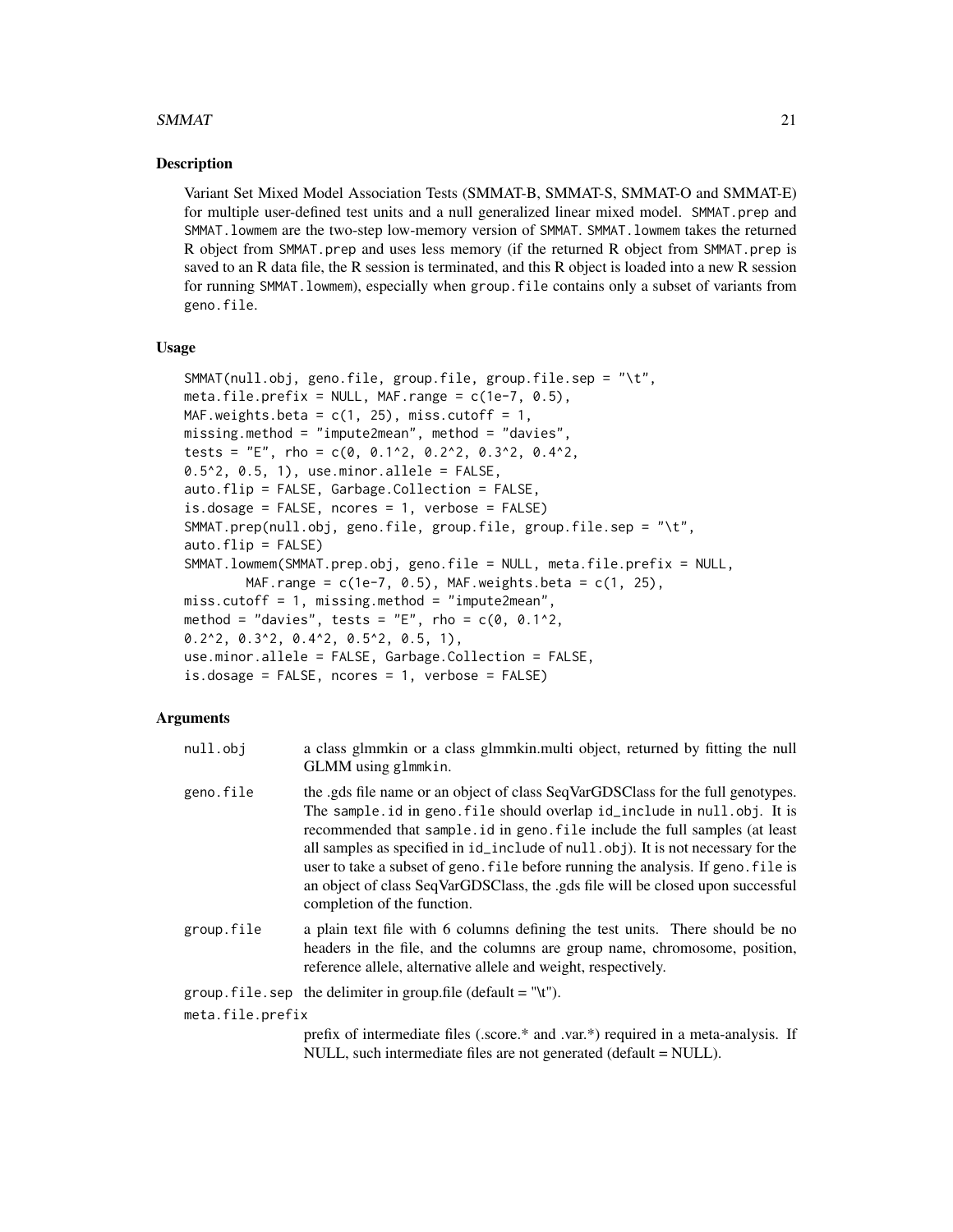#### $SMMAT$  21

#### Description

Variant Set Mixed Model Association Tests (SMMAT-B, SMMAT-S, SMMAT-O and SMMAT-E) for multiple user-defined test units and a null generalized linear mixed model. SMMAT.prep and SMMAT.lowmem are the two-step low-memory version of SMMAT. SMMAT.lowmem takes the returned R object from SMMAT.prep and uses less memory (if the returned R object from SMMAT.prep is saved to an R data file, the R session is terminated, and this R object is loaded into a new R session for running SMMAT.lowmem), especially when group.file contains only a subset of variants from geno.file.

#### Usage

```
SMMAT(null.obj, geno.file, group.file, group.file.sep = "\t",
meta.file.prefix = NULL, MAF.range = c(1e-7, 0.5),
MAF.weights.beta = c(1, 25), miss.cutoff = 1,
missing.method = "impute2mean", method = "davies",
tests = "E", rho = c(0, 0.1^2, 0.2^2, 0.3^2, 0.4^2,
0.5^2, 0.5, 1), use.minor.allele = FALSE,
auto.flip = FALSE, Garbage.Collection = FALSE,
is.dosage = FALSE, ncores = 1, verbose = FALSE)
SMMAT.prep(null.obj, geno.file, group.file, group.file.sep = "\t",
auto.flip = FALSE)
SMMAT.lowmem(SMMAT.prep.obj, geno.file = NULL, meta.file.prefix = NULL,
       MAF.range = c(1e-7, 0.5), MAF.weights.beta = c(1, 25),
miss.cutoff = 1, missing.method = "impute2mean",
method = "davies", tests = "E", rho = c(0, 0.1^2),
0.2^2, 0.3^2, 0.4^2, 0.5^2, 0.5, 1),
use.minor.allele = FALSE, Garbage.Collection = FALSE,
is.dosage = FALSE, ncores = 1, verbose = FALSE)
```

| null.obi         | a class glmmkin or a class glmmkin. multi object, returned by fitting the null<br>GLMM using glmmkin.                                                                                                                                                                                                                                                                                                                                                                                                                                |
|------------------|--------------------------------------------------------------------------------------------------------------------------------------------------------------------------------------------------------------------------------------------------------------------------------------------------------------------------------------------------------------------------------------------------------------------------------------------------------------------------------------------------------------------------------------|
| geno.file        | the .gds file name or an object of class SeqVarGDSClass for the full genotypes.<br>The sample.id in geno.file should overlap id_include in null.obj. It is<br>recommended that sample id in geno. file include the full samples (at least<br>all samples as specified in id_include of null.obj). It is not necessary for the<br>user to take a subset of geno. File before running the analysis. If geno. File is<br>an object of class SeqVarGDSClass, the .gds file will be closed upon successful<br>completion of the function. |
| group.file       | a plain text file with 6 columns defining the test units. There should be no<br>headers in the file, and the columns are group name, chromosome, position,<br>reference allele, alternative allele and weight, respectively.                                                                                                                                                                                                                                                                                                         |
|                  | group. file. sep the delimiter in group. file (default = "\t").                                                                                                                                                                                                                                                                                                                                                                                                                                                                      |
| meta.file.prefix |                                                                                                                                                                                                                                                                                                                                                                                                                                                                                                                                      |
|                  | prefix of intermediate files (.score.* and .var.*) required in a meta-analysis. If<br>NULL, such intermediate files are not generated (default = NULL).                                                                                                                                                                                                                                                                                                                                                                              |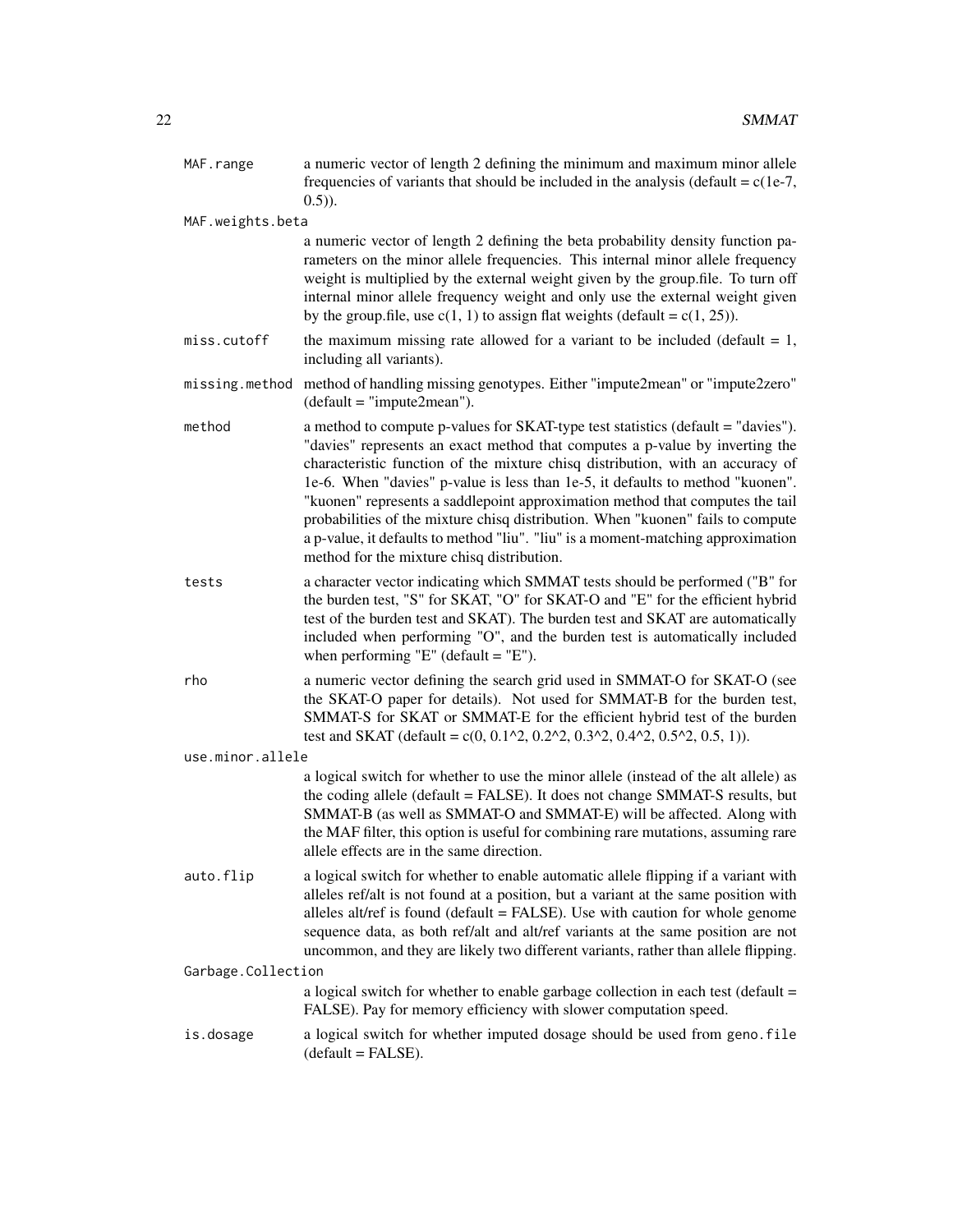| MAF.range          | a numeric vector of length 2 defining the minimum and maximum minor allele<br>frequencies of variants that should be included in the analysis (default = $c(1e-7)$ ,<br>$(0.5)$ ).                                                                                                                                                                                                                                                                                                                                                                                                                                                         |
|--------------------|--------------------------------------------------------------------------------------------------------------------------------------------------------------------------------------------------------------------------------------------------------------------------------------------------------------------------------------------------------------------------------------------------------------------------------------------------------------------------------------------------------------------------------------------------------------------------------------------------------------------------------------------|
| MAF.weights.beta   |                                                                                                                                                                                                                                                                                                                                                                                                                                                                                                                                                                                                                                            |
|                    | a numeric vector of length 2 defining the beta probability density function pa-<br>rameters on the minor allele frequencies. This internal minor allele frequency<br>weight is multiplied by the external weight given by the group.file. To turn off<br>internal minor allele frequency weight and only use the external weight given<br>by the group.file, use $c(1, 1)$ to assign flat weights (default = $c(1, 25)$ ).                                                                                                                                                                                                                 |
| miss.cutoff        | the maximum missing rate allowed for a variant to be included (default $= 1$ ,<br>including all variants).                                                                                                                                                                                                                                                                                                                                                                                                                                                                                                                                 |
|                    | missing.method method of handling missing genotypes. Either "impute2mean" or "impute2zero"<br>$(default = "impute2mean").$                                                                                                                                                                                                                                                                                                                                                                                                                                                                                                                 |
| method             | a method to compute p-values for SKAT-type test statistics (default = "davies").<br>"davies" represents an exact method that computes a p-value by inverting the<br>characteristic function of the mixture chisq distribution, with an accuracy of<br>1e-6. When "davies" p-value is less than 1e-5, it defaults to method "kuonen".<br>"kuonen" represents a saddlepoint approximation method that computes the tail<br>probabilities of the mixture chisq distribution. When "kuonen" fails to compute<br>a p-value, it defaults to method "liu". "liu" is a moment-matching approximation<br>method for the mixture chisq distribution. |
| tests              | a character vector indicating which SMMAT tests should be performed ("B" for<br>the burden test, "S" for SKAT, "O" for SKAT-O and "E" for the efficient hybrid<br>test of the burden test and SKAT). The burden test and SKAT are automatically<br>included when performing "O", and the burden test is automatically included<br>when performing "E" (default $=$ "E").                                                                                                                                                                                                                                                                   |
| rho                | a numeric vector defining the search grid used in SMMAT-O for SKAT-O (see<br>the SKAT-O paper for details). Not used for SMMAT-B for the burden test,<br>SMMAT-S for SKAT or SMMAT-E for the efficient hybrid test of the burden<br>test and SKAT (default = c(0, 0.1^2, 0.2^2, 0.3^2, 0.4^2, 0.5^2, 0.5, 1)).                                                                                                                                                                                                                                                                                                                             |
| use.minor.allele   |                                                                                                                                                                                                                                                                                                                                                                                                                                                                                                                                                                                                                                            |
|                    | a logical switch for whether to use the minor allele (instead of the alt allele) as<br>the coding allele (default = FALSE). It does not change SMMAT-S results, but<br>SMMAT-B (as well as SMMAT-O and SMMAT-E) will be affected. Along with<br>the MAF filter, this option is useful for combining rare mutations, assuming rare<br>allele effects are in the same direction.                                                                                                                                                                                                                                                             |
| auto.flip          | a logical switch for whether to enable automatic allele flipping if a variant with<br>alleles ref/alt is not found at a position, but a variant at the same position with<br>alleles alt/ref is found (default $=$ FALSE). Use with caution for whole genome<br>sequence data, as both ref/alt and alt/ref variants at the same position are not<br>uncommon, and they are likely two different variants, rather than allele flipping.                                                                                                                                                                                                     |
| Garbage.Collection |                                                                                                                                                                                                                                                                                                                                                                                                                                                                                                                                                                                                                                            |
|                    | a logical switch for whether to enable garbage collection in each test (default =<br>FALSE). Pay for memory efficiency with slower computation speed.                                                                                                                                                                                                                                                                                                                                                                                                                                                                                      |
| is.dosage          | a logical switch for whether imputed dosage should be used from geno. file<br>$(default = FALSE).$                                                                                                                                                                                                                                                                                                                                                                                                                                                                                                                                         |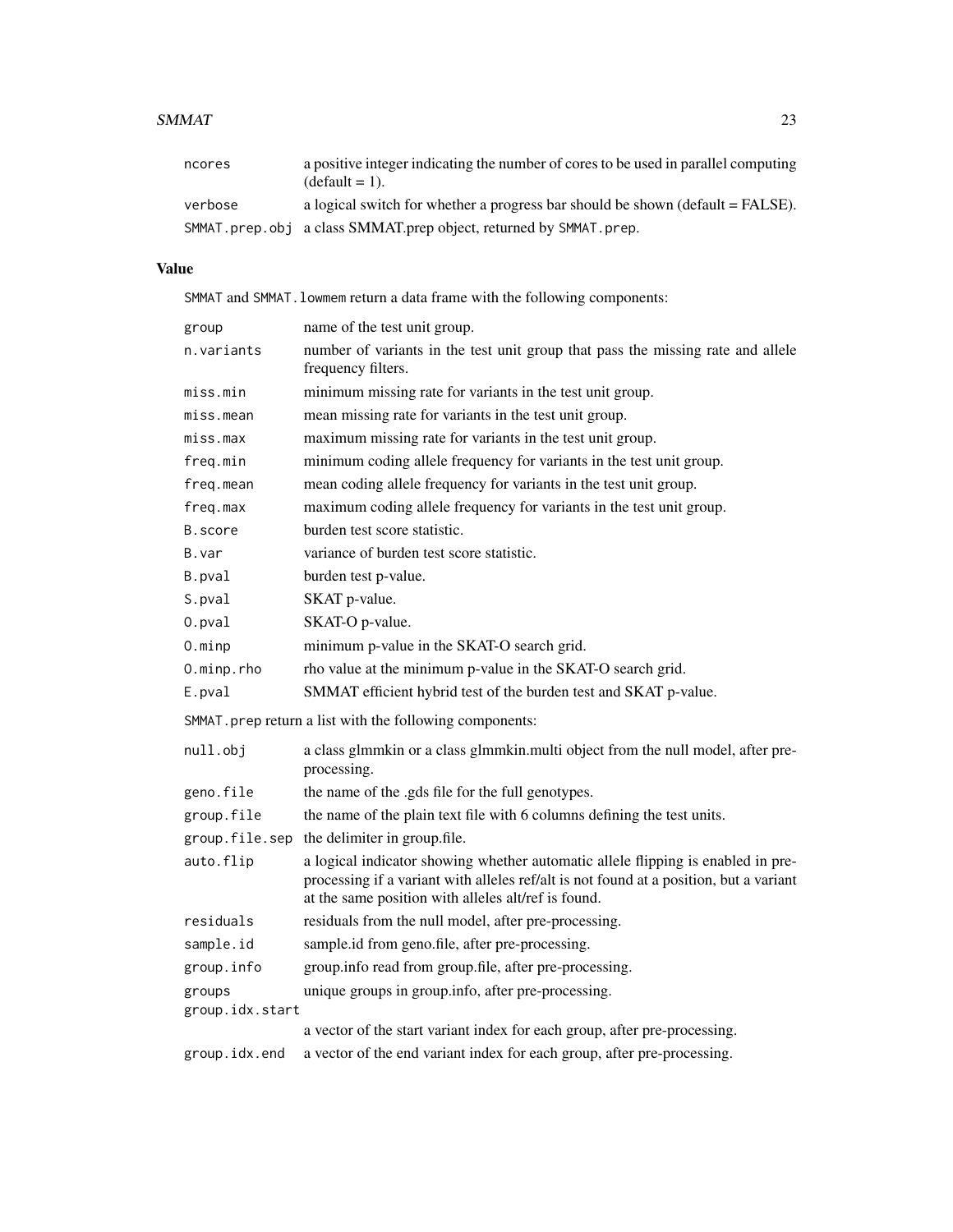#### $SMMAT$  23

| ncores  | a positive integer indicating the number of cores to be used in parallel computing<br>$(detault = 1)$ . |
|---------|---------------------------------------------------------------------------------------------------------|
| verbose | a logical switch for whether a progress bar should be shown (default $=$ FALSE).                        |
|         | SMMAT.prep.obj a class SMMAT.prep object, returned by SMMAT.prep.                                       |

# Value

SMMAT and SMMAT.lowmem return a data frame with the following components:

| group                                                    | name of the test unit group.                                                                                                                                                                                                      |
|----------------------------------------------------------|-----------------------------------------------------------------------------------------------------------------------------------------------------------------------------------------------------------------------------------|
| n.variants                                               | number of variants in the test unit group that pass the missing rate and allele<br>frequency filters.                                                                                                                             |
| miss.min                                                 | minimum missing rate for variants in the test unit group.                                                                                                                                                                         |
| miss.mean                                                | mean missing rate for variants in the test unit group.                                                                                                                                                                            |
| miss.max                                                 | maximum missing rate for variants in the test unit group.                                                                                                                                                                         |
| freq.min                                                 | minimum coding allele frequency for variants in the test unit group.                                                                                                                                                              |
| freq.mean                                                | mean coding allele frequency for variants in the test unit group.                                                                                                                                                                 |
| freq.max                                                 | maximum coding allele frequency for variants in the test unit group.                                                                                                                                                              |
| B.score                                                  | burden test score statistic.                                                                                                                                                                                                      |
| B.var                                                    | variance of burden test score statistic.                                                                                                                                                                                          |
| B.pval                                                   | burden test p-value.                                                                                                                                                                                                              |
| S.pval                                                   | SKAT p-value.                                                                                                                                                                                                                     |
| 0.pval                                                   | SKAT-O p-value.                                                                                                                                                                                                                   |
| $0.\text{minp}$                                          | minimum p-value in the SKAT-O search grid.                                                                                                                                                                                        |
| 0.minp.rho                                               | rho value at the minimum p-value in the SKAT-O search grid.                                                                                                                                                                       |
| E.pval                                                   | SMMAT efficient hybrid test of the burden test and SKAT p-value.                                                                                                                                                                  |
| SMMAT. prep return a list with the following components: |                                                                                                                                                                                                                                   |
| null.obj                                                 | a class glmmkin or a class glmmkin.multi object from the null model, after pre-<br>processing.                                                                                                                                    |
| geno.file                                                | the name of the .gds file for the full genotypes.                                                                                                                                                                                 |
| group.file                                               | the name of the plain text file with 6 columns defining the test units.                                                                                                                                                           |
|                                                          | group.file.sep the delimiter in group.file.                                                                                                                                                                                       |
| auto.flip                                                | a logical indicator showing whether automatic allele flipping is enabled in pre-<br>processing if a variant with alleles ref/alt is not found at a position, but a variant<br>at the same position with alleles alt/ref is found. |
| residuals                                                | residuals from the null model, after pre-processing.                                                                                                                                                                              |
| sample.id                                                | sample.id from geno.file, after pre-processing.                                                                                                                                                                                   |
| group.info                                               | group.info read from group.file, after pre-processing.                                                                                                                                                                            |
| groups                                                   | unique groups in group.info, after pre-processing.                                                                                                                                                                                |
| group.idx.start                                          |                                                                                                                                                                                                                                   |
|                                                          | a vector of the start variant index for each group, after pre-processing.                                                                                                                                                         |
| group.idx.end                                            | a vector of the end variant index for each group, after pre-processing.                                                                                                                                                           |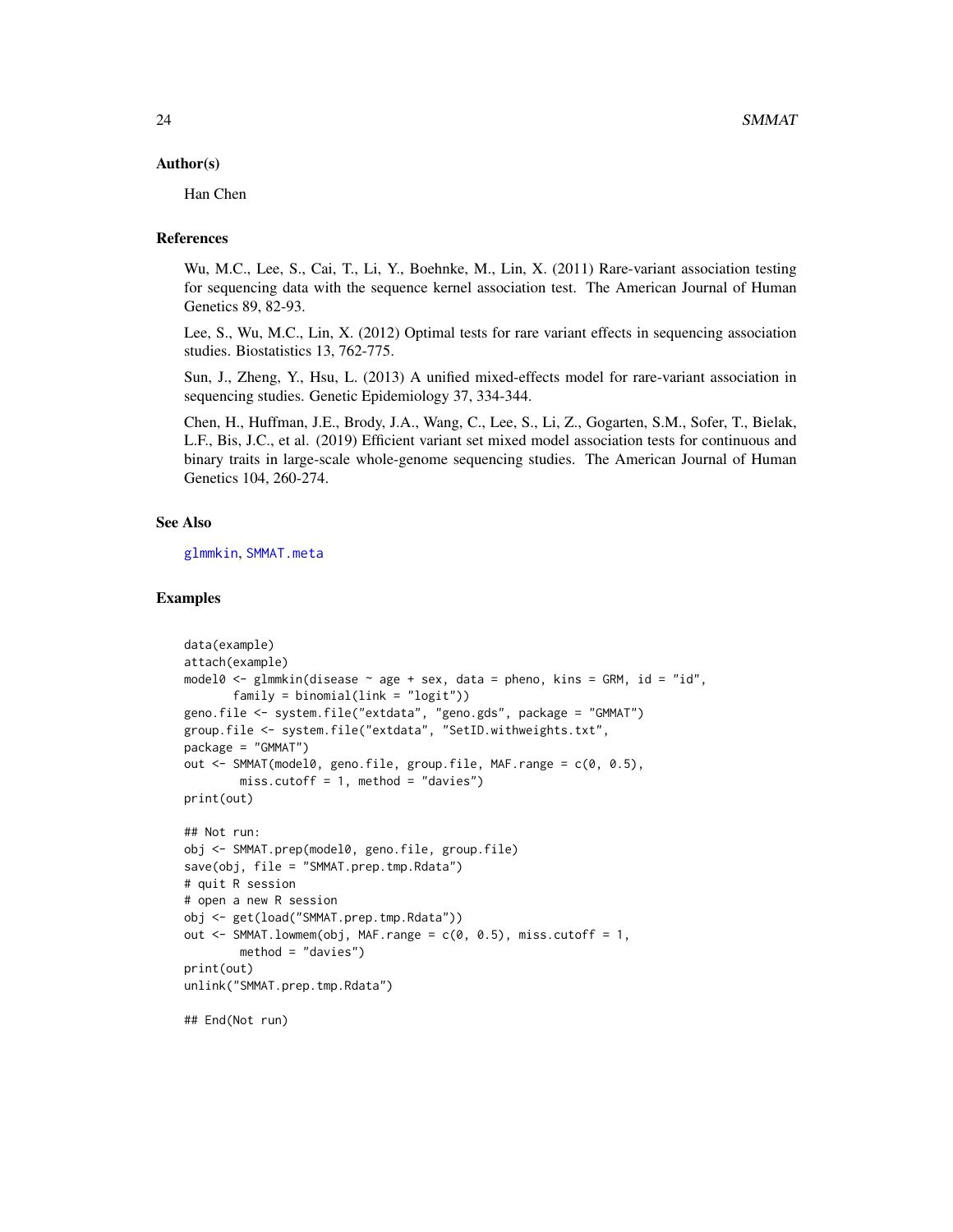#### <span id="page-23-0"></span>Author(s)

Han Chen

# References

Wu, M.C., Lee, S., Cai, T., Li, Y., Boehnke, M., Lin, X. (2011) Rare-variant association testing for sequencing data with the sequence kernel association test. The American Journal of Human Genetics 89, 82-93.

Lee, S., Wu, M.C., Lin, X. (2012) Optimal tests for rare variant effects in sequencing association studies. Biostatistics 13, 762-775.

Sun, J., Zheng, Y., Hsu, L. (2013) A unified mixed-effects model for rare-variant association in sequencing studies. Genetic Epidemiology 37, 334-344.

Chen, H., Huffman, J.E., Brody, J.A., Wang, C., Lee, S., Li, Z., Gogarten, S.M., Sofer, T., Bielak, L.F., Bis, J.C., et al. (2019) Efficient variant set mixed model association tests for continuous and binary traits in large-scale whole-genome sequencing studies. The American Journal of Human Genetics 104, 260-274.

## See Also

[glmmkin](#page-12-1), [SMMAT.meta](#page-24-1)

#### Examples

```
data(example)
attach(example)
model0 <- glmmkin(disease \sim age + sex, data = pheno, kins = GRM, id = "id",
       family = binomial(link = "logit"))
geno.file <- system.file("extdata", "geno.gds", package = "GMMAT")
group.file <- system.file("extdata", "SetID.withweights.txt",
package = "GMMAT")
out <- SMMAT(model0, geno.file, group.file, MAF.range = c(0, 0.5),
        miss.cutoff = 1, method = "davies")
print(out)
## Not run:
obj <- SMMAT.prep(model0, geno.file, group.file)
save(obj, file = "SMMAT.prep.tmp.Rdata")
# quit R session
# open a new R session
obj <- get(load("SMMAT.prep.tmp.Rdata"))
out \leq SMMAT. lowmem(obj, MAF. range = c(0, 0.5), miss. cutoff = 1,
       method = "davies")
print(out)
unlink("SMMAT.prep.tmp.Rdata")
## End(Not run)
```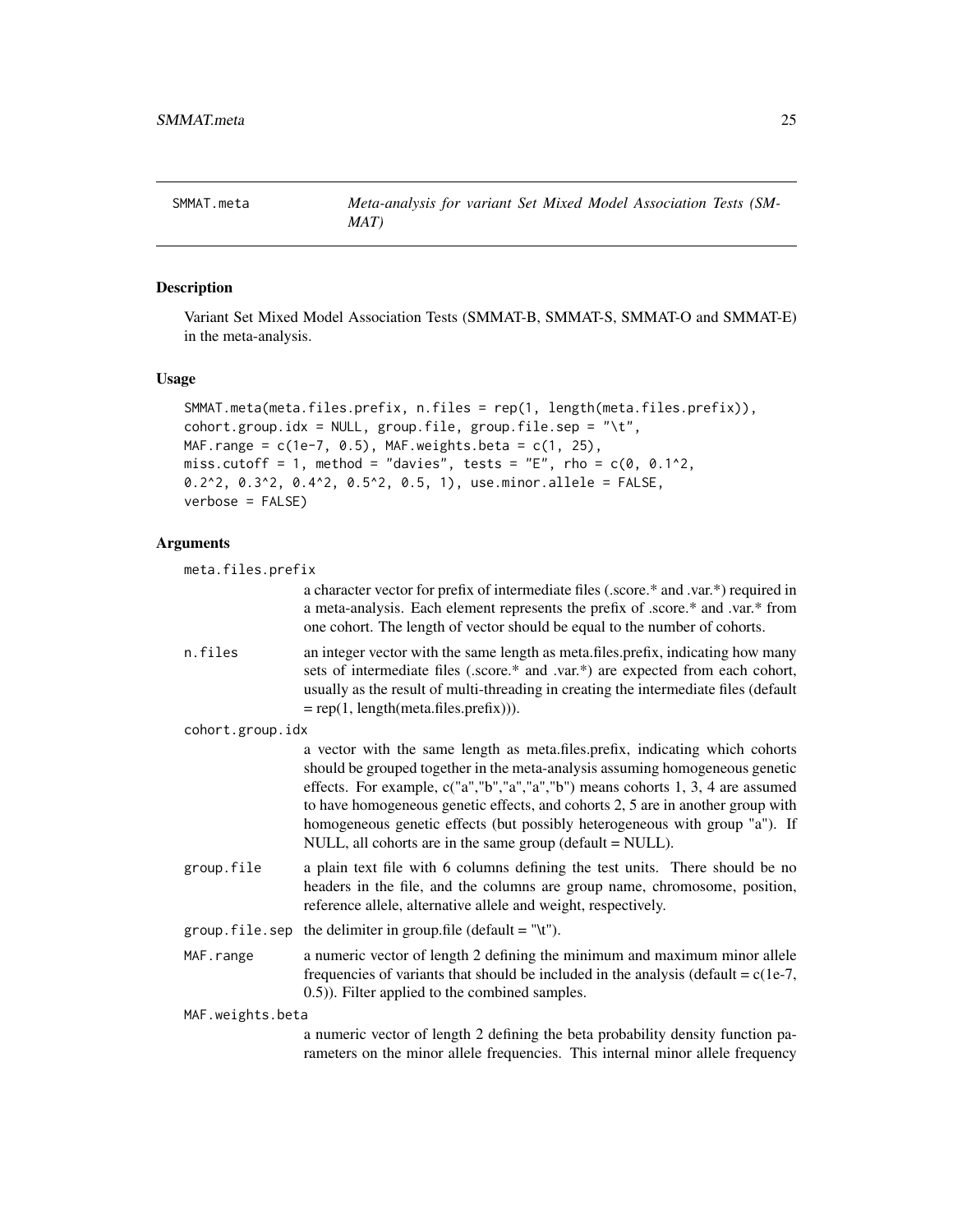### <span id="page-24-1"></span><span id="page-24-0"></span>**Description**

Variant Set Mixed Model Association Tests (SMMAT-B, SMMAT-S, SMMAT-O and SMMAT-E) in the meta-analysis.

#### Usage

```
SMMAT.meta(meta.files.prefix, n.files = rep(1, length(meta.files.prefix)),
\text{cohort.group.idx = NULL}, \text{group.file}, \text{group.file}.
MAF.range = c(1e-7, 0.5), MAF.weights.beta = c(1, 25),
miss.cutoff = 1, method = "davies", tests = "E", rho = c(0, 0.1^2),
0.2^2, 0.3^2, 0.4^2, 0.5^2, 0.5, 1), use.minor.allele = FALSE,
verbose = FALSE)
```
#### Arguments

```
meta.files.prefix
```
a character vector for prefix of intermediate files (.score.\* and .var.\*) required in a meta-analysis. Each element represents the prefix of .score.\* and .var.\* from one cohort. The length of vector should be equal to the number of cohorts.

n.files an integer vector with the same length as meta.files.prefix, indicating how many sets of intermediate files (.score.\* and .var.\*) are expected from each cohort, usually as the result of multi-threading in creating the intermediate files (default  $= rep(1, length(meta.files.prefix))).$ 

```
cohort.group.idx
```
a vector with the same length as meta.files.prefix, indicating which cohorts should be grouped together in the meta-analysis assuming homogeneous genetic effects. For example, c("a","b","a","a","b") means cohorts 1, 3, 4 are assumed to have homogeneous genetic effects, and cohorts 2, 5 are in another group with homogeneous genetic effects (but possibly heterogeneous with group "a"). If NULL, all cohorts are in the same group (default = NULL).

- group.file a plain text file with 6 columns defining the test units. There should be no headers in the file, and the columns are group name, chromosome, position, reference allele, alternative allele and weight, respectively.
- group. file. sep the delimiter in group. file (default = "\t").
- MAF. range a numeric vector of length 2 defining the minimum and maximum minor allele frequencies of variants that should be included in the analysis (default =  $c(1e-7)$ , 0.5)). Filter applied to the combined samples.

MAF.weights.beta

a numeric vector of length 2 defining the beta probability density function parameters on the minor allele frequencies. This internal minor allele frequency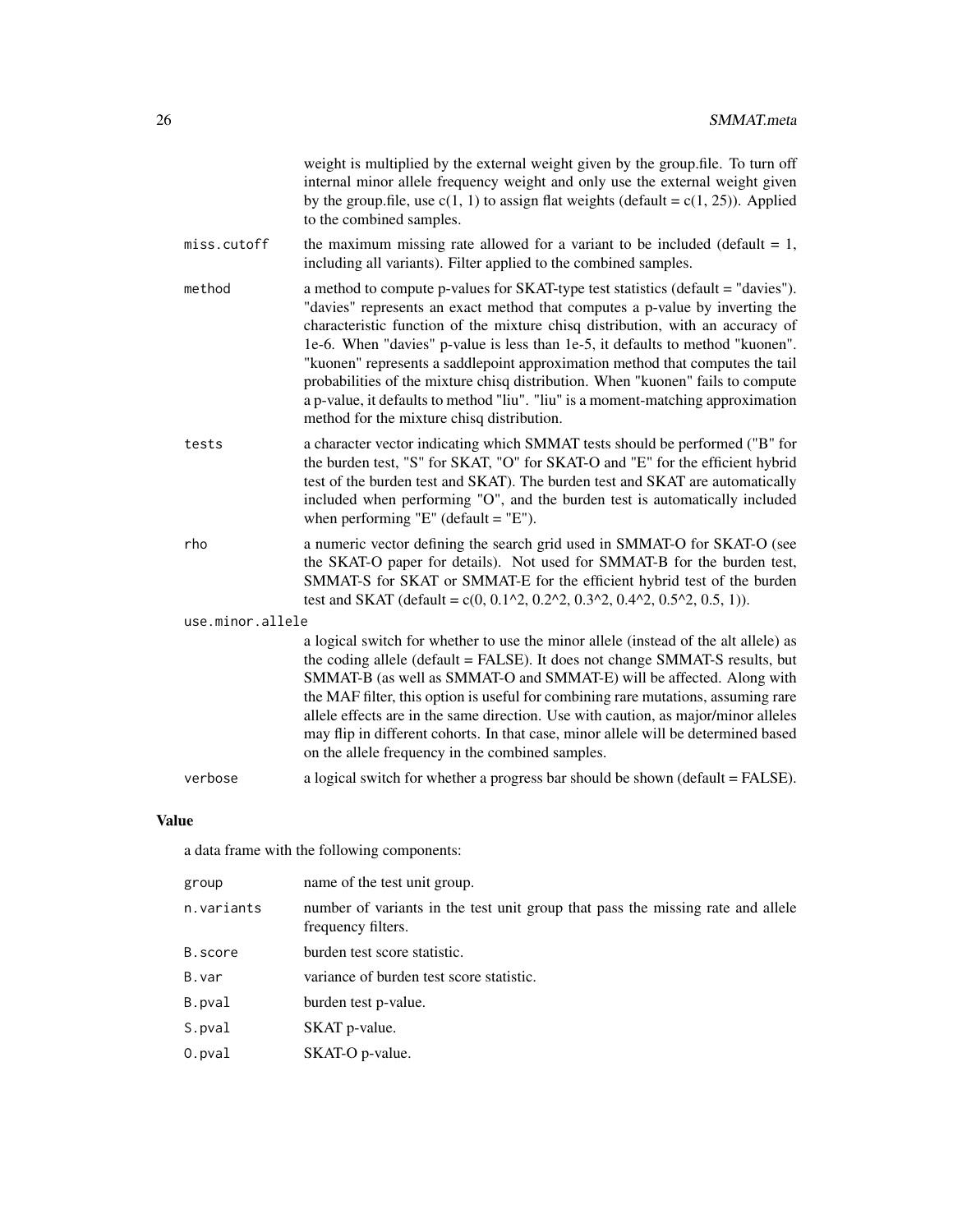|                  | weight is multiplied by the external weight given by the group.file. To turn off<br>internal minor allele frequency weight and only use the external weight given<br>by the group.file, use $c(1, 1)$ to assign flat weights (default = $c(1, 25)$ ). Applied<br>to the combined samples.                                                                                                                                                                                                                                                                                                                                                  |
|------------------|--------------------------------------------------------------------------------------------------------------------------------------------------------------------------------------------------------------------------------------------------------------------------------------------------------------------------------------------------------------------------------------------------------------------------------------------------------------------------------------------------------------------------------------------------------------------------------------------------------------------------------------------|
| miss.cutoff      | the maximum missing rate allowed for a variant to be included (default $= 1$ ,<br>including all variants). Filter applied to the combined samples.                                                                                                                                                                                                                                                                                                                                                                                                                                                                                         |
| method           | a method to compute p-values for SKAT-type test statistics (default = "davies").<br>"davies" represents an exact method that computes a p-value by inverting the<br>characteristic function of the mixture chisq distribution, with an accuracy of<br>1e-6. When "davies" p-value is less than 1e-5, it defaults to method "kuonen".<br>"kuonen" represents a saddlepoint approximation method that computes the tail<br>probabilities of the mixture chisq distribution. When "kuonen" fails to compute<br>a p-value, it defaults to method "liu". "liu" is a moment-matching approximation<br>method for the mixture chisq distribution. |
| tests            | a character vector indicating which SMMAT tests should be performed ("B" for<br>the burden test, "S" for SKAT, "O" for SKAT-O and "E" for the efficient hybrid<br>test of the burden test and SKAT). The burden test and SKAT are automatically<br>included when performing "O", and the burden test is automatically included<br>when performing "E" (default = "E").                                                                                                                                                                                                                                                                     |
| rho              | a numeric vector defining the search grid used in SMMAT-O for SKAT-O (see<br>the SKAT-O paper for details). Not used for SMMAT-B for the burden test,<br>SMMAT-S for SKAT or SMMAT-E for the efficient hybrid test of the burden<br>test and SKAT (default = $c(0, 0.12, 0.22, 0.32, 0.42, 0.52, 0.5, 1)$ ).                                                                                                                                                                                                                                                                                                                               |
| use.minor.allele |                                                                                                                                                                                                                                                                                                                                                                                                                                                                                                                                                                                                                                            |
|                  | a logical switch for whether to use the minor allele (instead of the alt allele) as<br>the coding allele (default = FALSE). It does not change SMMAT-S results, but<br>SMMAT-B (as well as SMMAT-O and SMMAT-E) will be affected. Along with<br>the MAF filter, this option is useful for combining rare mutations, assuming rare<br>allele effects are in the same direction. Use with caution, as major/minor alleles<br>may flip in different cohorts. In that case, minor allele will be determined based<br>on the allele frequency in the combined samples.                                                                          |
| verbose          | a logical switch for whether a progress bar should be shown (default = FALSE).                                                                                                                                                                                                                                                                                                                                                                                                                                                                                                                                                             |

# Value

a data frame with the following components:

| group      | name of the test unit group.                                                                          |
|------------|-------------------------------------------------------------------------------------------------------|
| n.variants | number of variants in the test unit group that pass the missing rate and allele<br>frequency filters. |
| B.score    | burden test score statistic.                                                                          |
| B.var      | variance of burden test score statistic.                                                              |
| B.pval     | burden test p-value.                                                                                  |
| S.pval     | SKAT p-value.                                                                                         |
| $0.$ pval  | SKAT-O p-value.                                                                                       |
|            |                                                                                                       |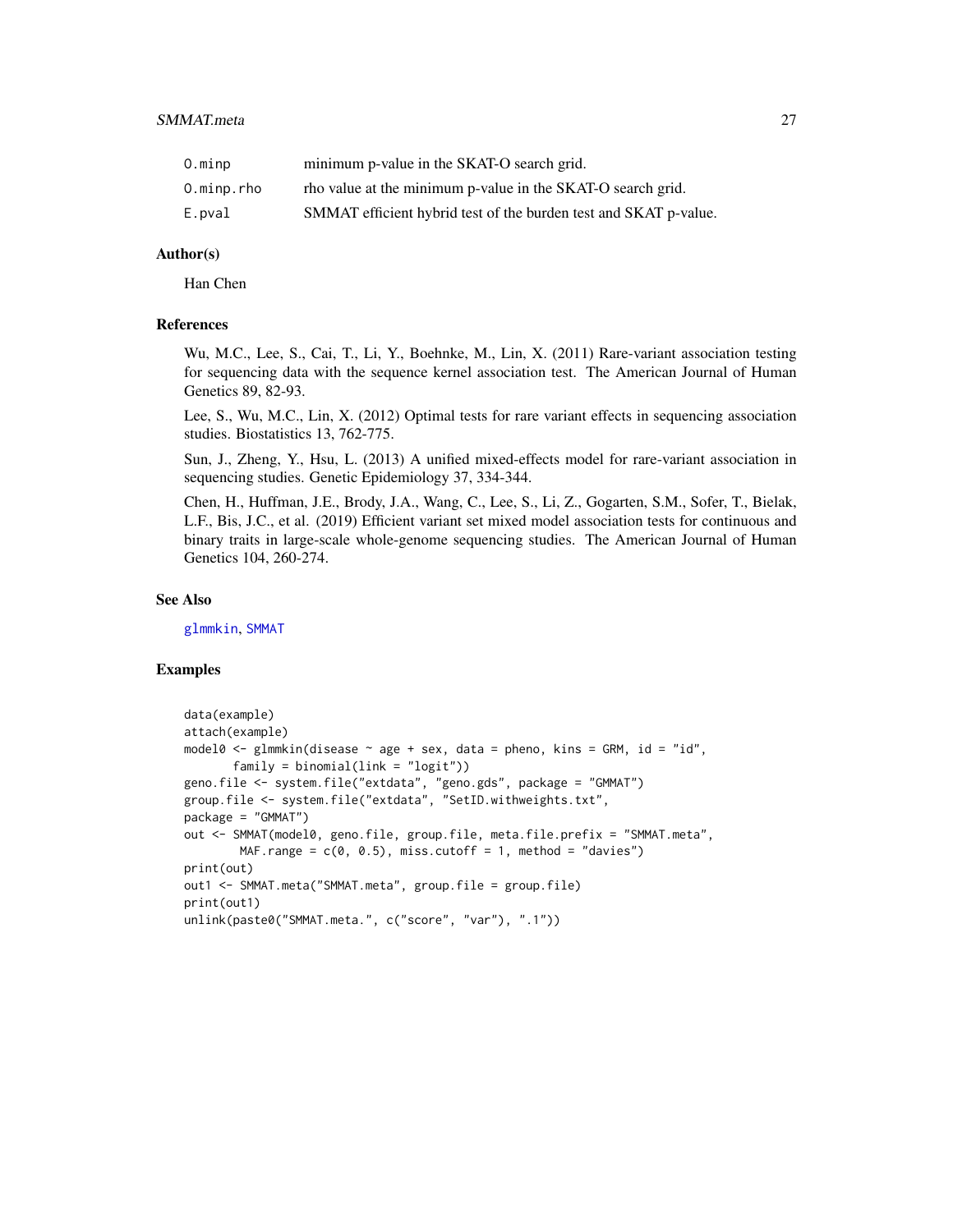<span id="page-26-0"></span>

| O.minp     | minimum p-value in the SKAT-O search grid.                       |
|------------|------------------------------------------------------------------|
| 0.minp.rho | rho value at the minimum p-value in the SKAT-O search grid.      |
| E.pval     | SMMAT efficient hybrid test of the burden test and SKAT p-value. |

#### Author(s)

Han Chen

# References

Wu, M.C., Lee, S., Cai, T., Li, Y., Boehnke, M., Lin, X. (2011) Rare-variant association testing for sequencing data with the sequence kernel association test. The American Journal of Human Genetics 89, 82-93.

Lee, S., Wu, M.C., Lin, X. (2012) Optimal tests for rare variant effects in sequencing association studies. Biostatistics 13, 762-775.

Sun, J., Zheng, Y., Hsu, L. (2013) A unified mixed-effects model for rare-variant association in sequencing studies. Genetic Epidemiology 37, 334-344.

Chen, H., Huffman, J.E., Brody, J.A., Wang, C., Lee, S., Li, Z., Gogarten, S.M., Sofer, T., Bielak, L.F., Bis, J.C., et al. (2019) Efficient variant set mixed model association tests for continuous and binary traits in large-scale whole-genome sequencing studies. The American Journal of Human Genetics 104, 260-274.

#### See Also

[glmmkin](#page-12-1), [SMMAT](#page-19-1)

#### Examples

```
data(example)
attach(example)
model0 <- glmmkin(disease \sim age + sex, data = pheno, kins = GRM, id = "id",
      family = binomial(link = "logit")geno.file <- system.file("extdata", "geno.gds", package = "GMMAT")
group.file <- system.file("extdata", "SetID.withweights.txt",
package = "GMMAT")
out <- SMMAT(model0, geno.file, group.file, meta.file.prefix = "SMMAT.meta",
       MAF.range = c(0, 0.5), miss.cutoff = 1, method = "davies")
print(out)
out1 <- SMMAT.meta("SMMAT.meta", group.file = group.file)
print(out1)
unlink(paste0("SMMAT.meta.", c("score", "var"), ".1"))
```